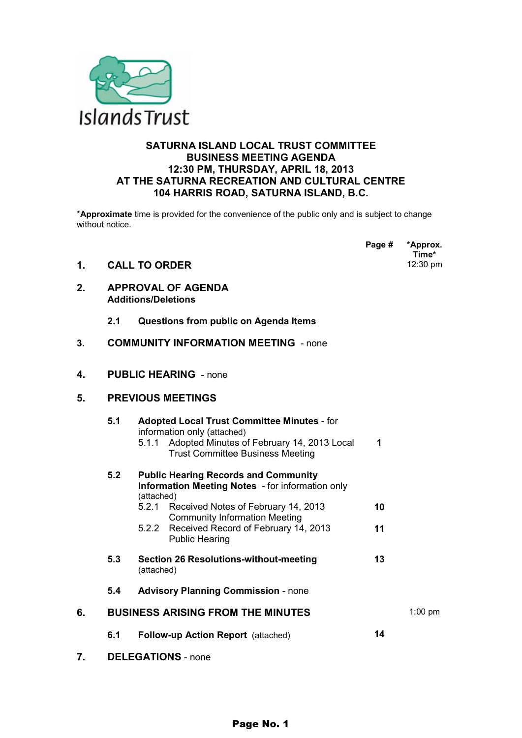

#### **SATURNA ISLAND LOCAL TRUST COMMITTEE BUSINESS MEETING AGENDA 12:30 PM, THURSDAY, APRIL 18, 2013 AT THE SATURNA RECREATION AND CULTURAL CENTRE 104 HARRIS ROAD, SATURNA ISLAND, B.C.**

\***Approximate** time is provided for the convenience of the public only and is subject to change without notice.

**Page # \*Approx.** 

|    |                                                         |                                                                                                                                                                                     |    | -17.17<br>Time* |
|----|---------------------------------------------------------|-------------------------------------------------------------------------------------------------------------------------------------------------------------------------------------|----|-----------------|
| 1. |                                                         | 12:30 pm<br><b>CALL TO ORDER</b>                                                                                                                                                    |    |                 |
| 2. | <b>APPROVAL OF AGENDA</b><br><b>Additions/Deletions</b> |                                                                                                                                                                                     |    |                 |
|    | 2.1                                                     | Questions from public on Agenda Items                                                                                                                                               |    |                 |
| 3. |                                                         | <b>COMMUNITY INFORMATION MEETING - none</b>                                                                                                                                         |    |                 |
| 4. |                                                         | <b>PUBLIC HEARING - none</b>                                                                                                                                                        |    |                 |
| 5. |                                                         | <b>PREVIOUS MEETINGS</b>                                                                                                                                                            |    |                 |
|    | 5.1                                                     | <b>Adopted Local Trust Committee Minutes - for</b><br>information only (attached)<br>Adopted Minutes of February 14, 2013 Local<br>5.1.1<br><b>Trust Committee Business Meeting</b> | 1  |                 |
|    | 5.2                                                     | <b>Public Hearing Records and Community</b><br>Information Meeting Notes - for information only<br>(attached)<br>5.2.1<br>Received Notes of February 14, 2013                       | 10 |                 |
|    |                                                         | <b>Community Information Meeting</b><br>5.2.2<br>Received Record of February 14, 2013<br><b>Public Hearing</b>                                                                      | 11 |                 |
|    | 5.3                                                     | <b>Section 26 Resolutions-without-meeting</b><br>(attached)                                                                                                                         | 13 |                 |
|    | 5.4                                                     | <b>Advisory Planning Commission - none</b>                                                                                                                                          |    |                 |
| 6. |                                                         | <b>BUSINESS ARISING FROM THE MINUTES</b>                                                                                                                                            |    | $1:00$ pm       |
|    | 6.1                                                     | <b>Follow-up Action Report</b> (attached)                                                                                                                                           | 14 |                 |
| 7. |                                                         | <b>DELEGATIONS</b> - none                                                                                                                                                           |    |                 |

Page No. 1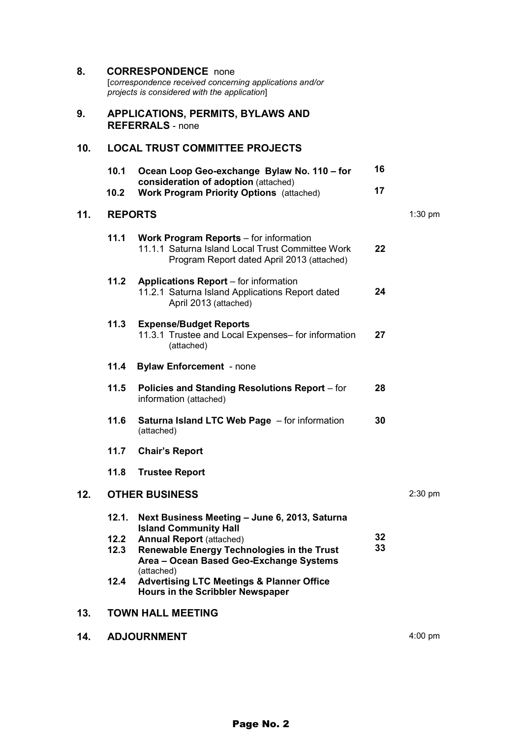| 8.  | <b>CORRESPONDENCE</b> none<br>[correspondence received concerning applications and/or<br>projects is considered with the application] |                                                                                                                                                          |          |           |  |
|-----|---------------------------------------------------------------------------------------------------------------------------------------|----------------------------------------------------------------------------------------------------------------------------------------------------------|----------|-----------|--|
| 9.  |                                                                                                                                       | <b>APPLICATIONS, PERMITS, BYLAWS AND</b><br><b>REFERRALS</b> - none                                                                                      |          |           |  |
| 10. |                                                                                                                                       | <b>LOCAL TRUST COMMITTEE PROJECTS</b>                                                                                                                    |          |           |  |
|     | 10.1<br>10.2                                                                                                                          | Ocean Loop Geo-exchange Bylaw No. 110 - for<br>consideration of adoption (attached)<br><b>Work Program Priority Options</b> (attached)                   | 16<br>17 |           |  |
| 11. | <b>REPORTS</b>                                                                                                                        |                                                                                                                                                          |          | $1:30$ pm |  |
|     | 11.1                                                                                                                                  | Work Program Reports – for information<br>11.1.1 Saturna Island Local Trust Committee Work<br>Program Report dated April 2013 (attached)                 | 22       |           |  |
|     | 11.2                                                                                                                                  | <b>Applications Report</b> – for information<br>11.2.1 Saturna Island Applications Report dated<br>April 2013 (attached)                                 | 24       |           |  |
|     | 11.3                                                                                                                                  | <b>Expense/Budget Reports</b><br>11.3.1 Trustee and Local Expenses- for information<br>(attached)                                                        | 27       |           |  |
|     | 11.4                                                                                                                                  | <b>Bylaw Enforcement</b> - none                                                                                                                          |          |           |  |
|     | 11.5                                                                                                                                  | Policies and Standing Resolutions Report - for<br>information (attached)                                                                                 | 28       |           |  |
|     | 11.6                                                                                                                                  | <b>Saturna Island LTC Web Page</b> - for information<br>(attached)                                                                                       | 30       |           |  |
|     | 11.7                                                                                                                                  | <b>Chair's Report</b>                                                                                                                                    |          |           |  |
|     |                                                                                                                                       | 11.8 Trustee Report                                                                                                                                      |          |           |  |
| 12. |                                                                                                                                       | <b>OTHER BUSINESS</b>                                                                                                                                    |          | $2:30$ pm |  |
|     | 12.1.                                                                                                                                 | Next Business Meeting - June 6, 2013, Saturna                                                                                                            |          |           |  |
|     | 12.2<br>12.3                                                                                                                          | <b>Island Community Hall</b><br><b>Annual Report (attached)</b><br>Renewable Energy Technologies in the Trust<br>Area - Ocean Based Geo-Exchange Systems | 32<br>33 |           |  |
|     | 12.4                                                                                                                                  | (attached)<br><b>Advertising LTC Meetings &amp; Planner Office</b><br>Hours in the Scribbler Newspaper                                                   |          |           |  |
| 13. |                                                                                                                                       | <b>TOWN HALL MEETING</b>                                                                                                                                 |          |           |  |
| 14. | <b>ADJOURNMENT</b><br>$4:00$ pm                                                                                                       |                                                                                                                                                          |          |           |  |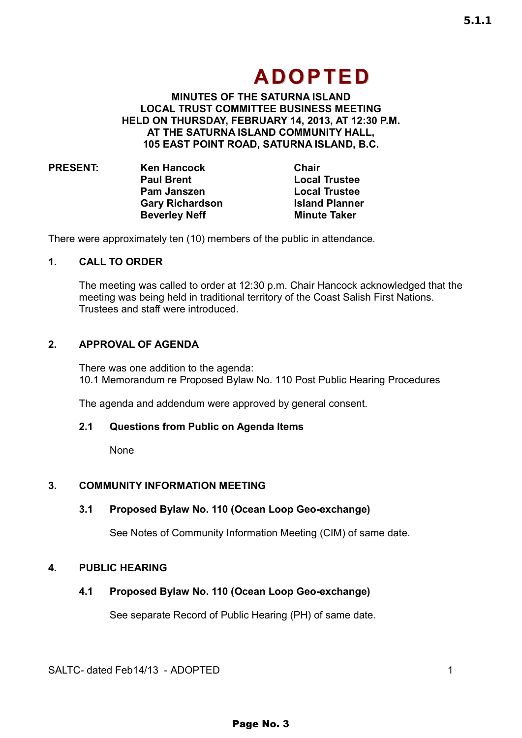**MINUTES OF THE SATURNA ISLAND LOCAL TRUST COMMITTEE BUSINESS MEETING HELD ON THURSDAY, FEBRUARY 14, 2013, AT 12:30 P.M. AT THE SATURNA ISLAND COMMUNITY HALL, 105 EAST POINT ROAD, SATURNA ISLAND, B.C.** 

| <b>PRESENT:</b> | <b>Ken Hancock</b>     | Chair                 |
|-----------------|------------------------|-----------------------|
|                 | <b>Paul Brent</b>      | <b>Local Trustee</b>  |
|                 | <b>Pam Janszen</b>     | <b>Local Trustee</b>  |
|                 | <b>Gary Richardson</b> | <b>Island Planner</b> |
|                 | <b>Beverley Neff</b>   | <b>Minute Taker</b>   |

There were approximately ten (10) members of the public in attendance.

#### **1. CALL TO ORDER**

The meeting was called to order at 12:30 p.m. Chair Hancock acknowledged that the meeting was being held in traditional territory of the Coast Salish First Nations. Trustees and staff were introduced.

#### **2. APPROVAL OF AGENDA**

There was one addition to the agenda: 10.1 Memorandum re Proposed Bylaw No. 110 Post Public Hearing Procedures

The agenda and addendum were approved by general consent.

#### **2.1 Questions from Public on Agenda Items**

None

#### **3. COMMUNITY INFORMATION MEETING**

#### **3.1 Proposed Bylaw No. 110 (Ocean Loop Geo-exchange)**

See Notes of Community Information Meeting (CIM) of same date.

#### **4. PUBLIC HEARING**

#### **4.1 Proposed Bylaw No. 110 (Ocean Loop Geo-exchange)**

See separate Record of Public Hearing (PH) of same date.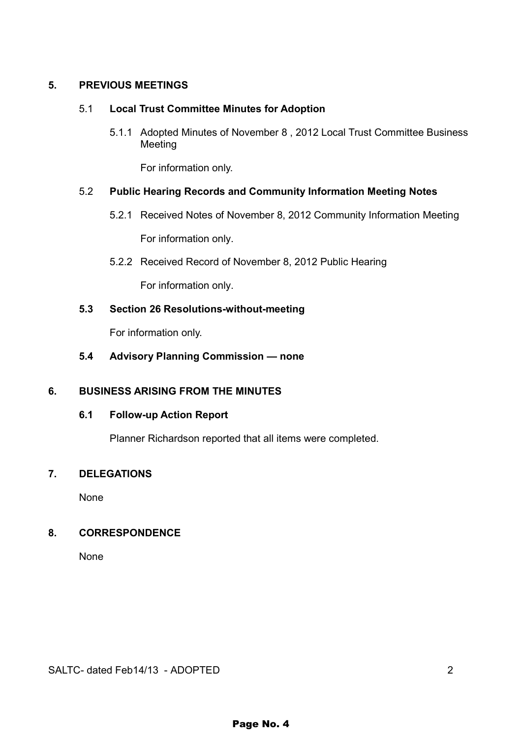#### **5. PREVIOUS MEETINGS**

#### 5.1 **Local Trust Committee Minutes for Adoption**

5.1.1 Adopted Minutes of November 8 , 2012 Local Trust Committee Business Meeting

For information only.

#### 5.2 **Public Hearing Records and Community Information Meeting Notes**

- 5.2.1 Received Notes of November 8, 2012 Community Information Meeting For information only.
- 5.2.2 Received Record of November 8, 2012 Public Hearing

For information only.

#### **5.3 Section 26 Resolutions-without-meeting**

For information only.

#### **5.4 Advisory Planning Commission — none**

#### **6. BUSINESS ARISING FROM THE MINUTES**

#### **6.1 Follow-up Action Report**

Planner Richardson reported that all items were completed.

#### **7. DELEGATIONS**

None

#### **8. CORRESPONDENCE**

None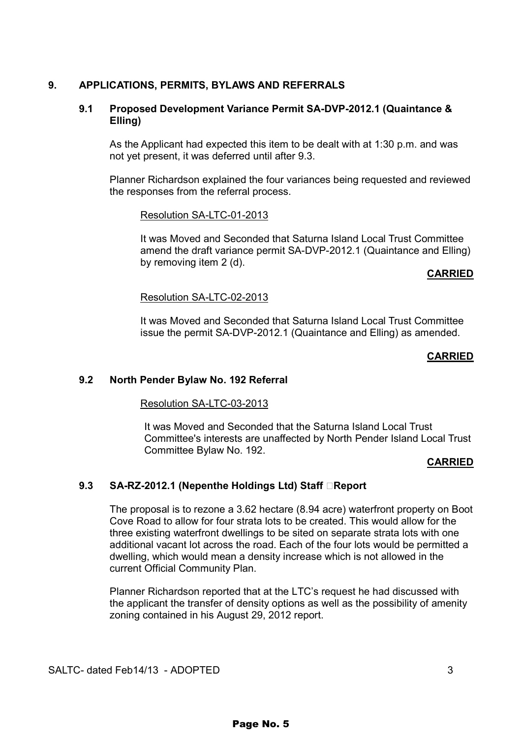#### **9. APPLICATIONS, PERMITS, BYLAWS AND REFERRALS**

#### **9.1 Proposed Development Variance Permit SA-DVP-2012.1 (Quaintance & Elling)**

As the Applicant had expected this item to be dealt with at 1:30 p.m. and was not yet present, it was deferred until after 9.3.

Planner Richardson explained the four variances being requested and reviewed the responses from the referral process.

#### Resolution SA-LTC-01-2013

It was Moved and Seconded that Saturna Island Local Trust Committee amend the draft variance permit SA-DVP-2012.1 (Quaintance and Elling) by removing item 2 (d).

#### **CARRIED**

#### Resolution SA-LTC-02-2013

It was Moved and Seconded that Saturna Island Local Trust Committee issue the permit SA-DVP-2012.1 (Quaintance and Elling) as amended.

#### **CARRIED**

#### **9.2 North Pender Bylaw No. 192 Referral**

#### Resolution SA-LTC-03-2013

It was Moved and Seconded that the Saturna Island Local Trust Committee's interests are unaffected by North Pender Island Local Trust Committee Bylaw No. 192.

#### **CARRIED**

#### **9.3 SA-RZ-2012.1 (Nepenthe Holdings Ltd) Staff EReport**

The proposal is to rezone a 3.62 hectare (8.94 acre) waterfront property on Boot Cove Road to allow for four strata lots to be created. This would allow for the three existing waterfront dwellings to be sited on separate strata lots with one additional vacant lot across the road. Each of the four lots would be permitted a dwelling, which would mean a density increase which is not allowed in the current Official Community Plan.

Planner Richardson reported that at the LTC's request he had discussed with the applicant the transfer of density options as well as the possibility of amenity zoning contained in his August 29, 2012 report.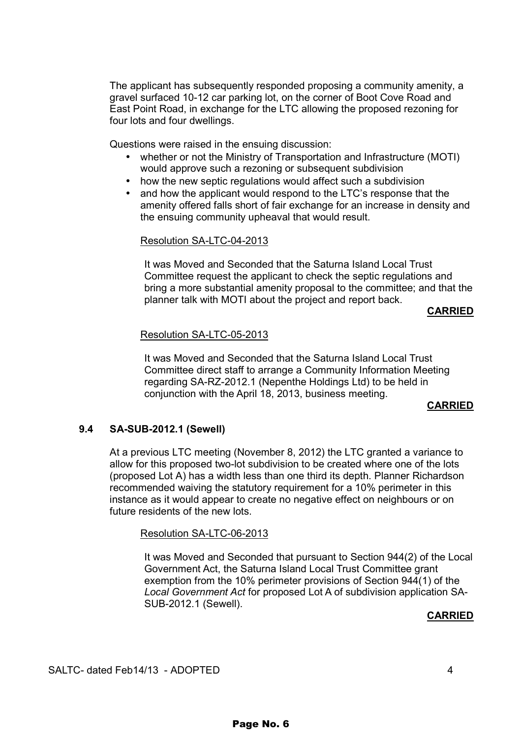The applicant has subsequently responded proposing a community amenity, a gravel surfaced 10-12 car parking lot, on the corner of Boot Cove Road and East Point Road, in exchange for the LTC allowing the proposed rezoning for four lots and four dwellings.

Questions were raised in the ensuing discussion:

- whether or not the Ministry of Transportation and Infrastructure (MOTI) would approve such a rezoning or subsequent subdivision
- how the new septic regulations would affect such a subdivision
- and how the applicant would respond to the LTC's response that the amenity offered falls short of fair exchange for an increase in density and the ensuing community upheaval that would result.

#### Resolution SA-LTC-04-2013

It was Moved and Seconded that the Saturna Island Local Trust Committee request the applicant to check the septic regulations and bring a more substantial amenity proposal to the committee; and that the planner talk with MOTI about the project and report back.

#### **CARRIED**

#### Resolution SA-LTC-05-2013

It was Moved and Seconded that the Saturna Island Local Trust Committee direct staff to arrange a Community Information Meeting regarding SA-RZ-2012.1 (Nepenthe Holdings Ltd) to be held in conjunction with the April 18, 2013, business meeting.

#### **CARRIED**

#### **9.4 SA-SUB-2012.1 (Sewell)**

At a previous LTC meeting (November 8, 2012) the LTC granted a variance to allow for this proposed two-lot subdivision to be created where one of the lots (proposed Lot A) has a width less than one third its depth. Planner Richardson recommended waiving the statutory requirement for a 10% perimeter in this instance as it would appear to create no negative effect on neighbours or on future residents of the new lots.

#### Resolution SA-LTC-06-2013

It was Moved and Seconded that pursuant to Section 944(2) of the Local Government Act, the Saturna Island Local Trust Committee grant exemption from the 10% perimeter provisions of Section 944(1) of the *Local Government Act* for proposed Lot A of subdivision application SA-SUB-2012.1 (Sewell).

#### **CARRIED**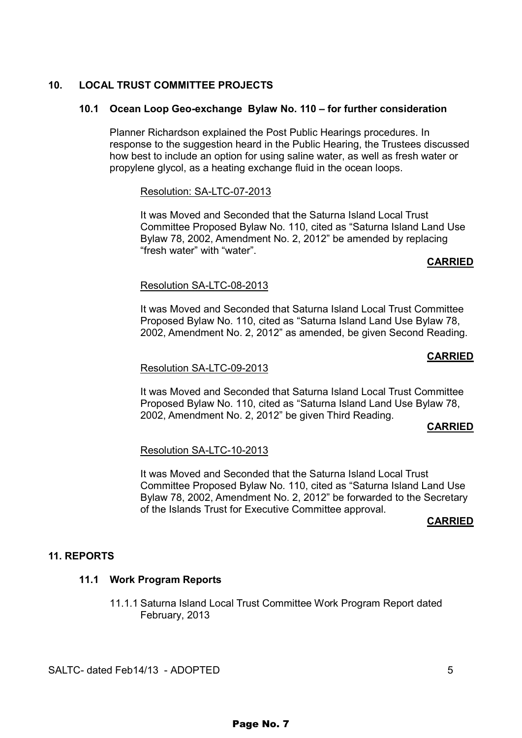#### **10. LOCAL TRUST COMMITTEE PROJECTS**

#### **10.1 Ocean Loop Geo-exchange Bylaw No. 110 – for further consideration**

Planner Richardson explained the Post Public Hearings procedures. In response to the suggestion heard in the Public Hearing, the Trustees discussed how best to include an option for using saline water, as well as fresh water or propylene glycol, as a heating exchange fluid in the ocean loops.

#### Resolution: SA-LTC-07-2013

It was Moved and Seconded that the Saturna Island Local Trust Committee Proposed Bylaw No. 110, cited as "Saturna Island Land Use Bylaw 78, 2002, Amendment No. 2, 2012" be amended by replacing "fresh water" with "water".

#### **CARRIED**

#### Resolution SA-LTC-08-2013

It was Moved and Seconded that Saturna Island Local Trust Committee Proposed Bylaw No. 110, cited as "Saturna Island Land Use Bylaw 78, 2002, Amendment No. 2, 2012" as amended, be given Second Reading.

#### **CARRIED**

#### Resolution SA-LTC-09-2013

It was Moved and Seconded that Saturna Island Local Trust Committee Proposed Bylaw No. 110, cited as "Saturna Island Land Use Bylaw 78, 2002, Amendment No. 2, 2012" be given Third Reading.

#### **CARRIED**

#### Resolution SA-LTC-10-2013

It was Moved and Seconded that the Saturna Island Local Trust Committee Proposed Bylaw No. 110, cited as "Saturna Island Land Use Bylaw 78, 2002, Amendment No. 2, 2012" be forwarded to the Secretary of the Islands Trust for Executive Committee approval.

#### **CARRIED**

#### **11. REPORTS**

#### **11.1 Work Program Reports**

11.1.1 Saturna Island Local Trust Committee Work Program Report dated February, 2013

SALTC- dated Feb14/13 - ADOPTED 5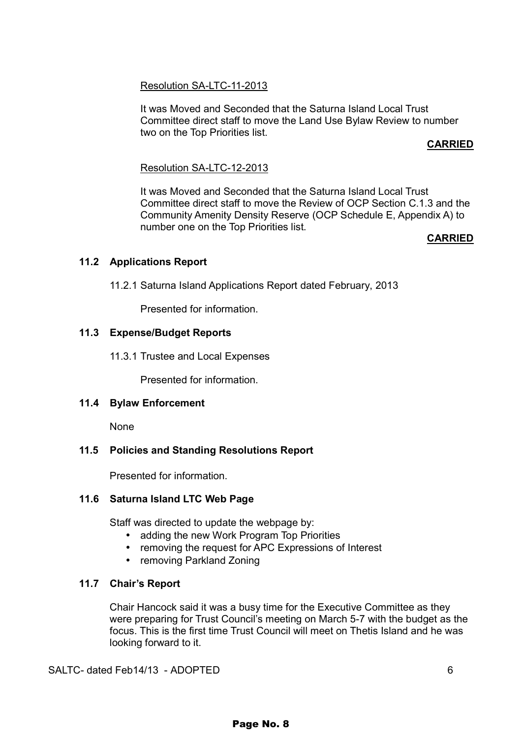#### Resolution SA-LTC-11-2013

It was Moved and Seconded that the Saturna Island Local Trust Committee direct staff to move the Land Use Bylaw Review to number two on the Top Priorities list.

#### **CARRIED**

#### Resolution SA-LTC-12-2013

It was Moved and Seconded that the Saturna Island Local Trust Committee direct staff to move the Review of OCP Section C.1.3 and the Community Amenity Density Reserve (OCP Schedule E, Appendix A) to number one on the Top Priorities list.

#### **CARRIED**

#### **11.2 Applications Report**

11.2.1 Saturna Island Applications Report dated February, 2013

Presented for information.

#### **11.3 Expense/Budget Reports**

11.3.1 Trustee and Local Expenses

Presented for information.

#### **11.4 Bylaw Enforcement**

None

#### **11.5 Policies and Standing Resolutions Report**

Presented for information.

#### **11.6 Saturna Island LTC Web Page**

Staff was directed to update the webpage by:

- adding the new Work Program Top Priorities
- removing the request for APC Expressions of Interest
- removing Parkland Zoning

#### **11.7 Chair's Report**

Chair Hancock said it was a busy time for the Executive Committee as they were preparing for Trust Council's meeting on March 5-7 with the budget as the focus. This is the first time Trust Council will meet on Thetis Island and he was looking forward to it.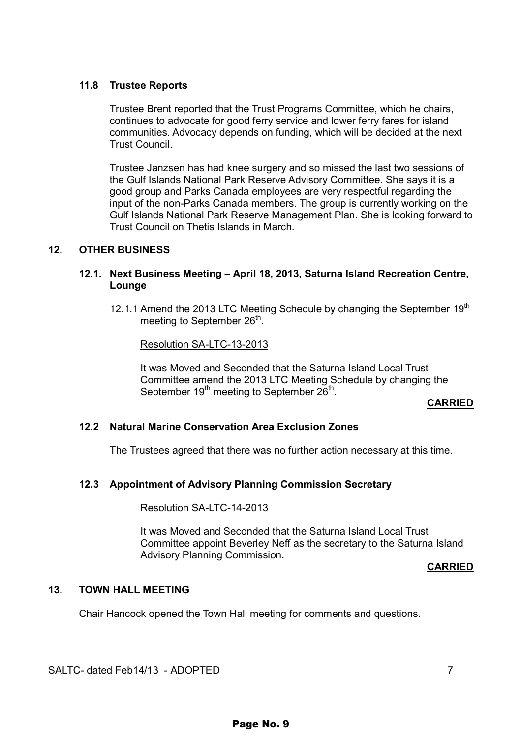#### **11.8 Trustee Reports**

Trustee Brent reported that the Trust Programs Committee, which he chairs, continues to advocate for good ferry service and lower ferry fares for island communities. Advocacy depends on funding, which will be decided at the next Trust Council.

Trustee Janzsen has had knee surgery and so missed the last two sessions of the Gulf Islands National Park Reserve Advisory Committee. She says it is a good group and Parks Canada employees are very respectful regarding the input of the non-Parks Canada members. The group is currently working on the Gulf Islands National Park Reserve Management Plan. She is looking forward to Trust Council on Thetis Islands in March.

#### **12. OTHER BUSINESS**

#### **12.1. Next Business Meeting – April 18, 2013, Saturna Island Recreation Centre, Lounge**

12.1.1 Amend the 2013 LTC Meeting Schedule by changing the September 19<sup>th</sup> meeting to September 26<sup>th</sup>.

Resolution SA-LTC-13-2013

It was Moved and Seconded that the Saturna Island Local Trust Committee amend the 2013 LTC Meeting Schedule by changing the September  $19<sup>th</sup>$  meeting to September  $26<sup>th</sup>$ .

#### **CARRIED**

#### **12.2 Natural Marine Conservation Area Exclusion Zones**

The Trustees agreed that there was no further action necessary at this time.

#### **12.3 Appointment of Advisory Planning Commission Secretary**

#### Resolution SA-LTC-14-2013

It was Moved and Seconded that the Saturna Island Local Trust Committee appoint Beverley Neff as the secretary to the Saturna Island Advisory Planning Commission.

#### **CARRIED**

#### **13. TOWN HALL MEETING**

Chair Hancock opened the Town Hall meeting for comments and questions.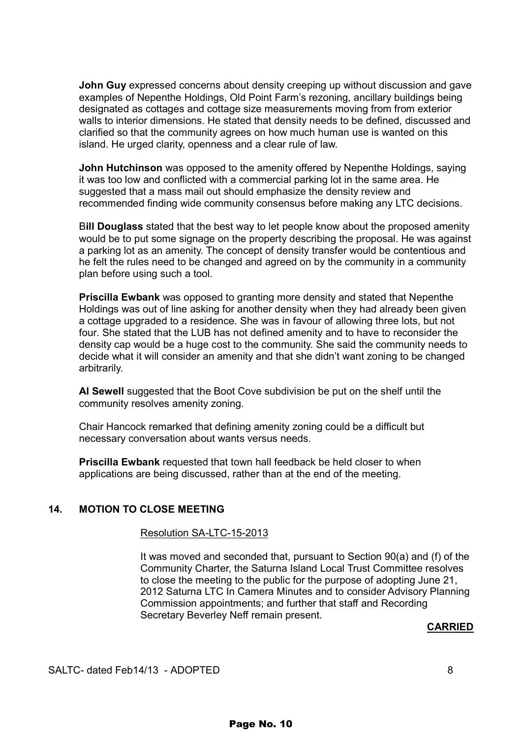**John Guy** expressed concerns about density creeping up without discussion and gave examples of Nepenthe Holdings, Old Point Farm's rezoning, ancillary buildings being designated as cottages and cottage size measurements moving from from exterior walls to interior dimensions. He stated that density needs to be defined, discussed and clarified so that the community agrees on how much human use is wanted on this island. He urged clarity, openness and a clear rule of law.

 **John Hutchinson** was opposed to the amenity offered by Nepenthe Holdings, saying it was too low and conflicted with a commercial parking lot in the same area. He suggested that a mass mail out should emphasize the density review and recommended finding wide community consensus before making any LTC decisions.

 B**ill Douglass** stated that the best way to let people know about the proposed amenity would be to put some signage on the property describing the proposal. He was against a parking lot as an amenity. The concept of density transfer would be contentious and he felt the rules need to be changed and agreed on by the community in a community plan before using such a tool.

**Priscilla Ewbank** was opposed to granting more density and stated that Nepenthe Holdings was out of line asking for another density when they had already been given a cottage upgraded to a residence. She was in favour of allowing three lots, but not four. She stated that the LUB has not defined amenity and to have to reconsider the density cap would be a huge cost to the community. She said the community needs to decide what it will consider an amenity and that she didn't want zoning to be changed arbitrarily.

**Al Sewell** suggested that the Boot Cove subdivision be put on the shelf until the community resolves amenity zoning.

 Chair Hancock remarked that defining amenity zoning could be a difficult but necessary conversation about wants versus needs.

**Priscilla Ewbank** requested that town hall feedback be held closer to when applications are being discussed, rather than at the end of the meeting.

#### **14. MOTION TO CLOSE MEETING**

#### Resolution SA-LTC-15-2013

 It was moved and seconded that, pursuant to Section 90(a) and (f) of the Community Charter, the Saturna Island Local Trust Committee resolves to close the meeting to the public for the purpose of adopting June 21, 2012 Saturna LTC In Camera Minutes and to consider Advisory Planning Commission appointments; and further that staff and Recording Secretary Beverley Neff remain present.

#### **CARRIED**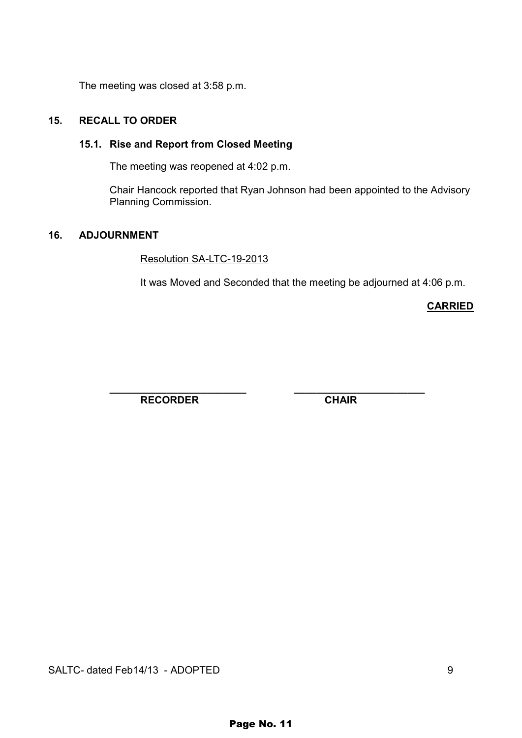The meeting was closed at 3:58 p.m.

#### **15. RECALL TO ORDER**

#### **15.1. Rise and Report from Closed Meeting**

The meeting was reopened at 4:02 p.m.

Chair Hancock reported that Ryan Johnson had been appointed to the Advisory Planning Commission.

#### **16. ADJOURNMENT**

Resolution SA-LTC-19-2013

It was Moved and Seconded that the meeting be adjourned at 4:06 p.m.

**CARRIED** 

 **\_\_\_\_\_\_\_\_\_\_\_\_\_\_\_\_\_\_\_\_\_\_\_\_ \_\_\_\_\_\_\_\_\_\_\_\_\_\_\_\_\_\_\_\_\_\_\_**  RECORDER CHAIR

SALTC- dated Feb14/13 - ADOPTED 9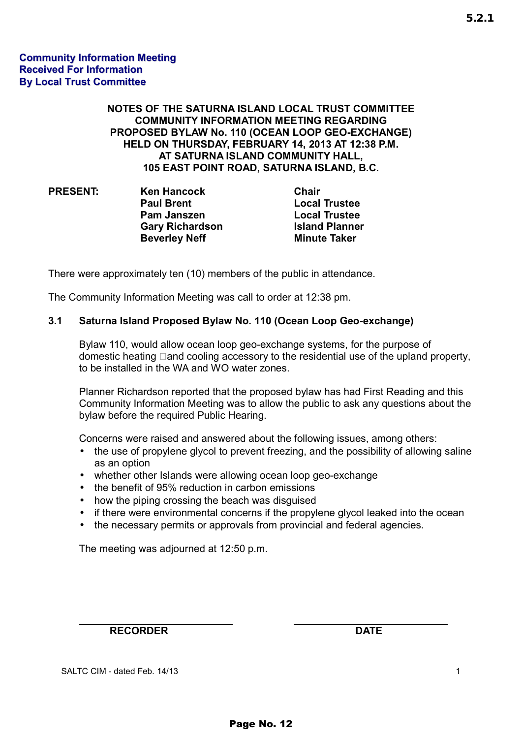#### **NOTES OF THE SATURNA ISLAND LOCAL TRUST COMMITTEE COMMUNITY INFORMATION MEETING REGARDING PROPOSED BYLAW No. 110 (OCEAN LOOP GEO-EXCHANGE) HELD ON THURSDAY, FEBRUARY 14, 2013 AT 12:38 P.M. AT SATURNA ISLAND COMMUNITY HALL, 105 EAST POINT ROAD, SATURNA ISLAND, B.C.**

| <b>PRESENT:</b> | <b>Ken Hancock</b>     | <b>Chair</b>          |
|-----------------|------------------------|-----------------------|
|                 | <b>Paul Brent</b>      | <b>Local Trustee</b>  |
|                 | <b>Pam Janszen</b>     | <b>Local Trustee</b>  |
|                 | <b>Gary Richardson</b> | <b>Island Planner</b> |
|                 | <b>Beverley Neff</b>   | <b>Minute Taker</b>   |

There were approximately ten (10) members of the public in attendance.

The Community Information Meeting was call to order at 12:38 pm.

#### **3.1 Saturna Island Proposed Bylaw No. 110 (Ocean Loop Geo-exchange)**

Bylaw 110, would allow ocean loop geo-exchange systems, for the purpose of domestic heating - and cooling accessory to the residential use of the upland property, to be installed in the WA and WO water zones.

Planner Richardson reported that the proposed bylaw has had First Reading and this Community Information Meeting was to allow the public to ask any questions about the bylaw before the required Public Hearing.

Concerns were raised and answered about the following issues, among others:

- the use of propylene glycol to prevent freezing, and the possibility of allowing saline as an option
- whether other Islands were allowing ocean loop geo-exchange
- the benefit of 95% reduction in carbon emissions
- how the piping crossing the beach was disguised
- if there were environmental concerns if the propylene glycol leaked into the ocean
- the necessary permits or approvals from provincial and federal agencies.

The meeting was adjourned at 12:50 p.m.

**RECORDER DATE** 

SALTC CIM - dated Feb. 14/13 1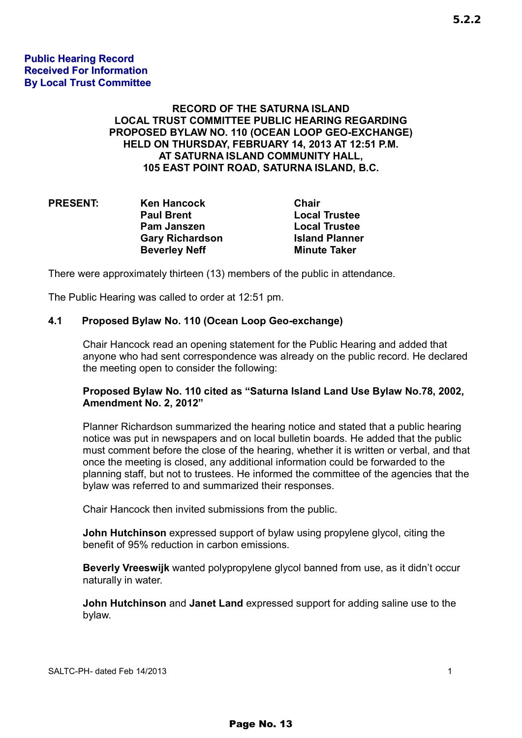#### **Public Hearing Record Received For Information By Local Trust Committee**

#### **RECORD OF THE SATURNA ISLAND LOCAL TRUST COMMITTEE PUBLIC HEARING REGARDING PROPOSED BYLAW NO. 110 (OCEAN LOOP GEO-EXCHANGE) HELD ON THURSDAY, FEBRUARY 14, 2013 AT 12:51 P.M. AT SATURNA ISLAND COMMUNITY HALL, 105 EAST POINT ROAD, SATURNA ISLAND, B.C.**

| <b>PRESENT:</b> | <b>Ken Hancock</b>     | <b>Chair</b>          |
|-----------------|------------------------|-----------------------|
|                 | <b>Paul Brent</b>      | <b>Local Trustee</b>  |
|                 | Pam Janszen            | <b>Local Trustee</b>  |
|                 | <b>Gary Richardson</b> | <b>Island Planner</b> |
|                 | <b>Beverley Neff</b>   | <b>Minute Taker</b>   |

There were approximately thirteen (13) members of the public in attendance.

The Public Hearing was called to order at 12:51 pm.

#### **4.1 Proposed Bylaw No. 110 (Ocean Loop Geo-exchange)**

Chair Hancock read an opening statement for the Public Hearing and added that anyone who had sent correspondence was already on the public record. He declared the meeting open to consider the following:

#### **Proposed Bylaw No. 110 cited as "Saturna Island Land Use Bylaw No.78, 2002, Amendment No. 2, 2012"**

Planner Richardson summarized the hearing notice and stated that a public hearing notice was put in newspapers and on local bulletin boards. He added that the public must comment before the close of the hearing, whether it is written or verbal, and that once the meeting is closed, any additional information could be forwarded to the planning staff, but not to trustees. He informed the committee of the agencies that the bylaw was referred to and summarized their responses.

Chair Hancock then invited submissions from the public.

**John Hutchinson** expressed support of bylaw using propylene glycol, citing the benefit of 95% reduction in carbon emissions.

**Beverly Vreeswijk** wanted polypropylene glycol banned from use, as it didn't occur naturally in water.

**John Hutchinson** and **Janet Land** expressed support for adding saline use to the bylaw.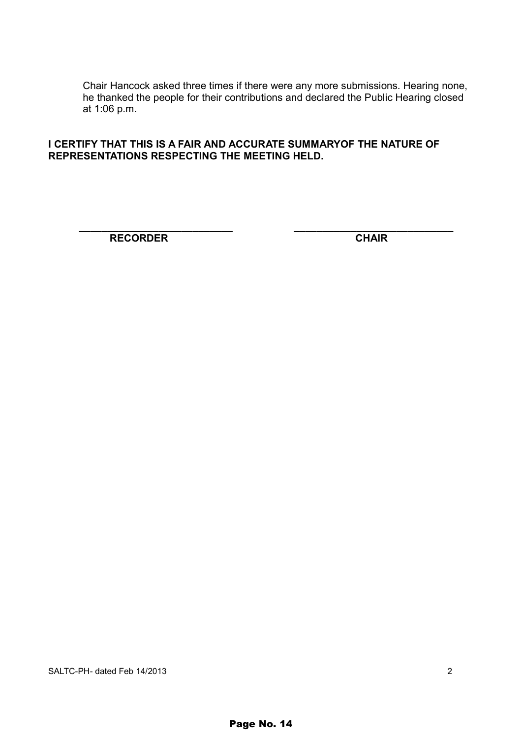Chair Hancock asked three times if there were any more submissions. Hearing none, he thanked the people for their contributions and declared the Public Hearing closed at 1:06 p.m.

#### **I CERTIFY THAT THIS IS A FAIR AND ACCURATE SUMMARYOF THE NATURE OF REPRESENTATIONS RESPECTING THE MEETING HELD.**

 **\_\_\_\_\_\_\_\_\_\_\_\_\_\_\_\_\_\_\_\_\_\_\_\_\_\_\_ \_\_\_\_\_\_\_\_\_\_\_\_\_\_\_\_\_\_\_\_\_\_\_\_\_\_\_\_ RECORDER** CHAIR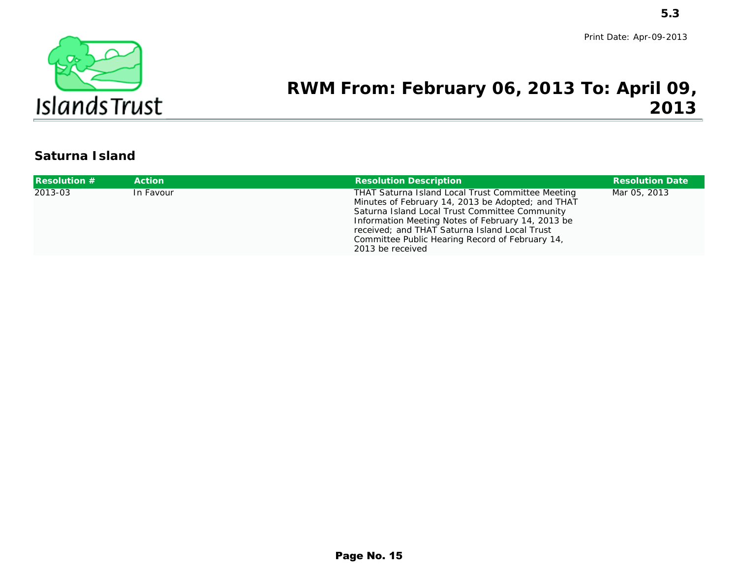

### **RWM From: February 06, 2013 To: April 09,2013**

### **Saturna Island**

|                       |                  |                                                                                                                                                                                                                                                                                                                                                            | 5.3                     |
|-----------------------|------------------|------------------------------------------------------------------------------------------------------------------------------------------------------------------------------------------------------------------------------------------------------------------------------------------------------------------------------------------------------------|-------------------------|
| ರಾ                    |                  | RWM From: February 06, 2013 To: April 09,                                                                                                                                                                                                                                                                                                                  | Print Date: Apr-09-2013 |
| <b>IslandsTrust</b>   |                  |                                                                                                                                                                                                                                                                                                                                                            | 2013                    |
| <b>Saturna Island</b> |                  |                                                                                                                                                                                                                                                                                                                                                            |                         |
| <b>Resolution #</b>   | <b>Action</b>    | <b>Resolution Description</b>                                                                                                                                                                                                                                                                                                                              | <b>Resolution Date</b>  |
| 2013-03               | <b>In Favour</b> | <b>THAT Saturna Island Local Trust Committee Meeting</b><br>Minutes of February 14, 2013 be Adopted; and THAT<br><b>Saturna Island Local Trust Committee Community</b><br>Information Meeting Notes of February 14, 2013 be<br>received; and THAT Saturna Island Local Trust<br><b>Committee Public Hearing Record of February 14,</b><br>2013 be received | Mar 05, 2013            |
|                       |                  |                                                                                                                                                                                                                                                                                                                                                            |                         |
|                       |                  |                                                                                                                                                                                                                                                                                                                                                            |                         |
|                       |                  |                                                                                                                                                                                                                                                                                                                                                            |                         |
|                       |                  |                                                                                                                                                                                                                                                                                                                                                            |                         |
|                       |                  |                                                                                                                                                                                                                                                                                                                                                            |                         |
|                       |                  |                                                                                                                                                                                                                                                                                                                                                            |                         |
|                       |                  |                                                                                                                                                                                                                                                                                                                                                            |                         |
|                       |                  |                                                                                                                                                                                                                                                                                                                                                            |                         |
|                       |                  | Page No. 15                                                                                                                                                                                                                                                                                                                                                |                         |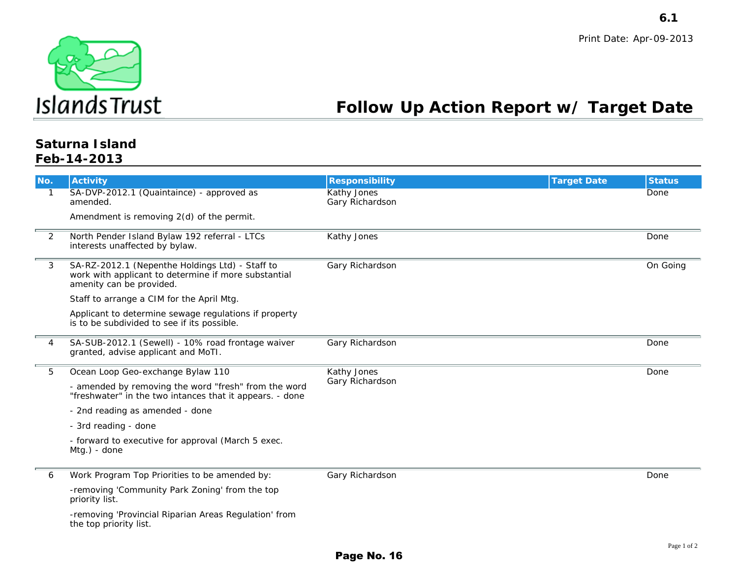

### **Follow Up Action Report w/ Target Date**

#### **Saturna IslandFeb-14-2013**

|                  | Islands Trust                                                                                                                       |                                              | <b>Follow Up Action Report w/ Target Date</b> | 6.1<br>Print Date: Apr-09-2013 |
|------------------|-------------------------------------------------------------------------------------------------------------------------------------|----------------------------------------------|-----------------------------------------------|--------------------------------|
|                  | <b>Saturna Island</b><br>Feb-14-2013                                                                                                |                                              |                                               |                                |
| No.              | <b>Activity</b>                                                                                                                     | <b>Responsibility</b>                        | <b>Target Date</b>                            | <b>Status</b>                  |
| 1                | SA-DVP-2012.1 (Quaintaince) - approved as<br>amended.                                                                               | <b>Kathy Jones</b><br><b>Gary Richardson</b> |                                               | Done                           |
|                  | Amendment is removing $2(d)$ of the permit.                                                                                         |                                              |                                               |                                |
| $\boldsymbol{2}$ | North Pender Island Bylaw 192 referral - LTCs<br>interests unaffected by bylaw.                                                     | <b>Kathy Jones</b>                           |                                               | <b>Done</b>                    |
| 3                | SA-RZ-2012.1 (Nepenthe Holdings Ltd) - Staff to<br>work with applicant to determine if more substantial<br>amenity can be provided. | <b>Gary Richardson</b>                       |                                               | <b>On Going</b>                |
|                  | Staff to arrange a CIM for the April Mtg.                                                                                           |                                              |                                               |                                |
|                  | Applicant to determine sewage regulations if property<br>is to be subdivided to see if its possible.                                |                                              |                                               |                                |
| 4                | SA-SUB-2012.1 (Sewell) - 10% road frontage waiver<br>granted, advise applicant and MoTI.                                            | <b>Gary Richardson</b>                       |                                               | Done                           |
| $\bf 5$          | Ocean Loop Geo-exchange Bylaw 110                                                                                                   | <b>Kathy Jones</b>                           |                                               | Done                           |
|                  | - amended by removing the word "fresh" from the word<br>"freshwater" in the two intances that it appears. - done                    | <b>Gary Richardson</b>                       |                                               |                                |
|                  | - 2nd reading as amended - done                                                                                                     |                                              |                                               |                                |
|                  | - 3rd reading - done                                                                                                                |                                              |                                               |                                |
|                  | - forward to executive for approval (March 5 exec.<br>Mtg.) - done                                                                  |                                              |                                               |                                |
| 6                | Work Program Top Priorities to be amended by:                                                                                       | <b>Gary Richardson</b>                       |                                               | Done                           |
|                  | -removing 'Community Park Zoning' from the top<br>priority list.                                                                    |                                              |                                               |                                |
|                  | -removing 'Provincial Riparian Areas Regulation' from<br>the top priority list.                                                     |                                              |                                               |                                |
|                  |                                                                                                                                     | Page No. 16                                  |                                               | Page 1 of 2                    |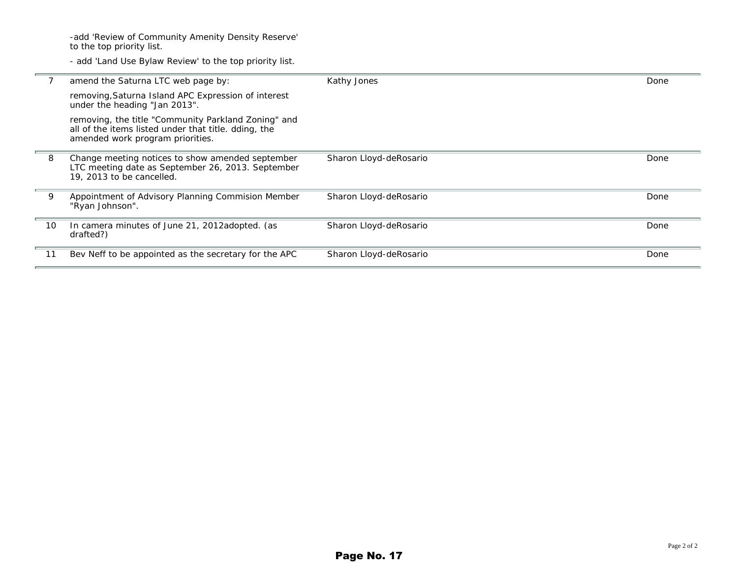-add 'Review of Community Amenity Density Reserve' to the top priority list.

- add 'Land Use Bylaw Review' to the top priority list.

|    | amend the Saturna LTC web page by:                                                                                                              | <b>Kathy Jones</b>            | Done |
|----|-------------------------------------------------------------------------------------------------------------------------------------------------|-------------------------------|------|
|    | removing, Saturna Island APC Expression of interest<br>under the heading "Jan 2013".                                                            |                               |      |
|    | removing, the title "Community Parkland Zoning" and<br>all of the items listed under that title. dding, the<br>amended work program priorities. |                               |      |
| 8  | Change meeting notices to show amended september<br>LTC meeting date as September 26, 2013. September<br>19, 2013 to be cancelled.              | <b>Sharon Lloyd-deRosario</b> | Done |
| 9  | <b>Appointment of Advisory Planning Commision Member</b><br>"Ryan Johnson".                                                                     | <b>Sharon Lloyd-deRosario</b> | Done |
| 10 | In camera minutes of June 21, 2012adopted. (as<br>drafted?)                                                                                     | <b>Sharon Lloyd-deRosario</b> | Done |
| 11 | Bev Neff to be appointed as the secretary for the APC                                                                                           | <b>Sharon Lloyd-deRosario</b> | Done |
|    |                                                                                                                                                 |                               |      |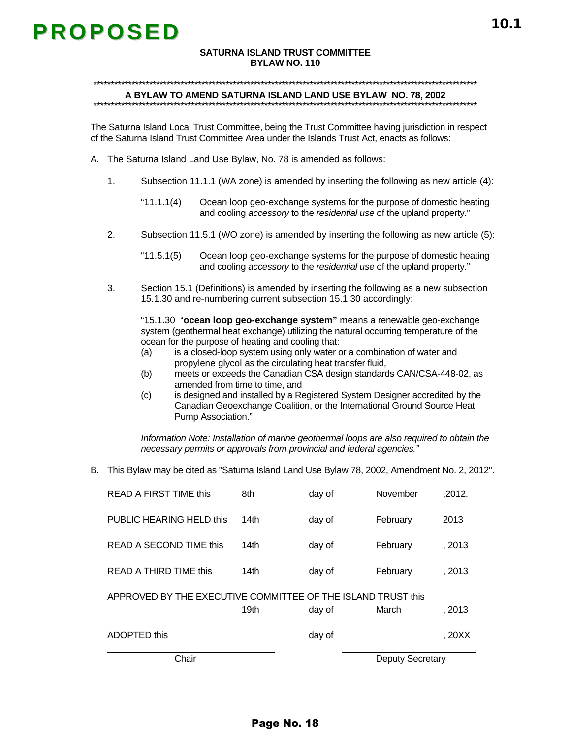# **PROPOSED**

#### **SATURNA ISLAND TRUST COMMITTEE BYLAW NO. 110**

#### \*\*\*\*\*\*\*\*\*\*\*\*\*\*\*\*\*\*\*\*\*\*\*\*\*\*\*\*\*\*\*\*\*\*\*\*\*\*\*\*\*\*\*\*\*\*\*\*\*\*\*\*\*\*\*\*\*\*\*\*\*\*\*\*\*\*\*\*\*\*\*\*\*\*\*\*\*\*\*\*\*\*\*\*\*\*\*\*\*\*\*\*\*\*\*\*\*\*\*\*\*\*\*\*\*\*\*\*\*\*

#### **A BYLAW TO AMEND SATURNA ISLAND LAND USE BYLAW NO. 78, 2002**  \*\*\*\*\*\*\*\*\*\*\*\*\*\*\*\*\*\*\*\*\*\*\*\*\*\*\*\*\*\*\*\*\*\*\*\*\*\*\*\*\*\*\*\*\*\*\*\*\*\*\*\*\*\*\*\*\*\*\*\*\*\*\*\*\*\*\*\*\*\*\*\*\*\*\*\*\*\*\*\*\*\*\*\*\*\*\*\*\*\*\*\*\*\*\*\*\*\*\*\*\*\*\*\*\*\*\*\*\*\*

The Saturna Island Local Trust Committee, being the Trust Committee having jurisdiction in respect of the Saturna Island Trust Committee Area under the Islands Trust Act, enacts as follows:

- A. The Saturna Island Land Use Bylaw, No. 78 is amended as follows:
	- 1. Subsection 11.1.1 (WA zone) is amended by inserting the following as new article (4):
		- "11.1.1(4) Ocean loop geo-exchange systems for the purpose of domestic heating and cooling *accessory* to the *residential use* of the upland property."
	- 2. Subsection 11.5.1 (WO zone) is amended by inserting the following as new article (5):
		- "11.5.1(5) Ocean loop geo-exchange systems for the purpose of domestic heating and cooling *accessory* to the *residential use* of the upland property."
	- 3. Section 15.1 (Definitions) is amended by inserting the following as a new subsection 15.1.30 and re-numbering current subsection 15.1.30 accordingly:

"15.1.30 "**ocean loop geo-exchange system"** means a renewable geo-exchange system (geothermal heat exchange) utilizing the natural occurring temperature of the ocean for the purpose of heating and cooling that:

- (a) is a closed-loop system using only water or a combination of water and propylene glycol as the circulating heat transfer fluid,
- (b) meets or exceeds the Canadian CSA design standards CAN/CSA-448-02, as amended from time to time, and
- (c) is designed and installed by a Registered System Designer accredited by the Canadian Geoexchange Coalition, or the International Ground Source Heat Pump Association."

*Information Note: Installation of marine geothermal loops are also required to obtain the necessary permits or approvals from provincial and federal agencies."* 

B. This Bylaw may be cited as "Saturna Island Land Use Bylaw 78, 2002, Amendment No. 2, 2012".

| Chair                                                        |                  |        | <b>Deputy Secretary</b> |        |
|--------------------------------------------------------------|------------------|--------|-------------------------|--------|
| ADOPTED this                                                 |                  | day of |                         | . 20XX |
|                                                              | 19 <sub>th</sub> | day of | March                   | , 2013 |
| APPROVED BY THE EXECUTIVE COMMITTEE OF THE ISLAND TRUST this |                  |        |                         |        |
| READ A THIRD TIME this                                       | 14th             | day of | February                | . 2013 |
| READ A SECOND TIME this                                      | 14th             | day of | February                | , 2013 |
| PUBLIC HEARING HELD this                                     | 14th             | day of | February                | 2013   |
| <b>READ A FIRST TIME this</b>                                | 8th              | day of | November                | .2012. |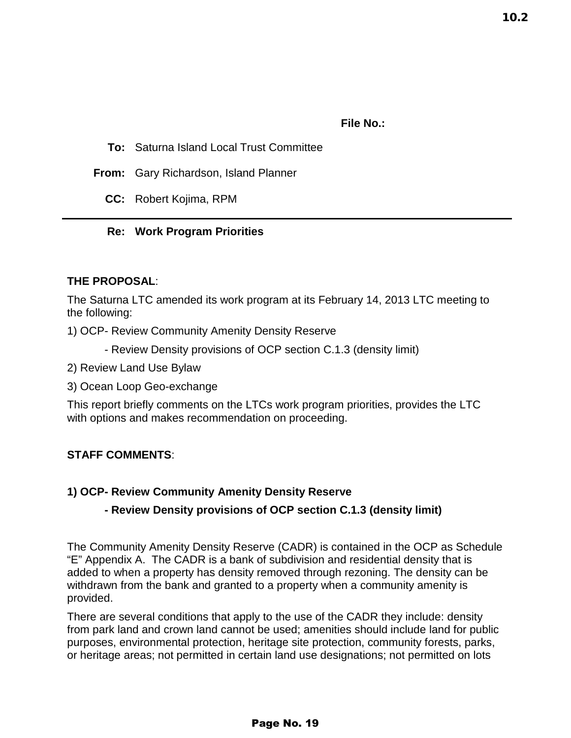10.2

#### **File No.:**

- **To:** Saturna Island Local Trust Committee
- **From:** Gary Richardson, Island Planner
	- **CC:** Robert Kojima, RPM

#### **Re: Work Program Priorities**

#### **THE PROPOSAL**:

The Saturna LTC amended its work program at its February 14, 2013 LTC meeting to the following:

1) OCP- Review Community Amenity Density Reserve

- Review Density provisions of OCP section C.1.3 (density limit)
- 2) Review Land Use Bylaw
- 3) Ocean Loop Geo-exchange

This report briefly comments on the LTCs work program priorities, provides the LTC with options and makes recommendation on proceeding.

#### **STAFF COMMENTS**:

#### **1) OCP- Review Community Amenity Density Reserve**

#### **- Review Density provisions of OCP section C.1.3 (density limit)**

The Community Amenity Density Reserve (CADR) is contained in the OCP as Schedule "E" Appendix A. The CADR is a bank of subdivision and residential density that is added to when a property has density removed through rezoning. The density can be withdrawn from the bank and granted to a property when a community amenity is provided.

There are several conditions that apply to the use of the CADR they include: density from park land and crown land cannot be used; amenities should include land for public purposes, environmental protection, heritage site protection, community forests, parks, or heritage areas; not permitted in certain land use designations; not permitted on lots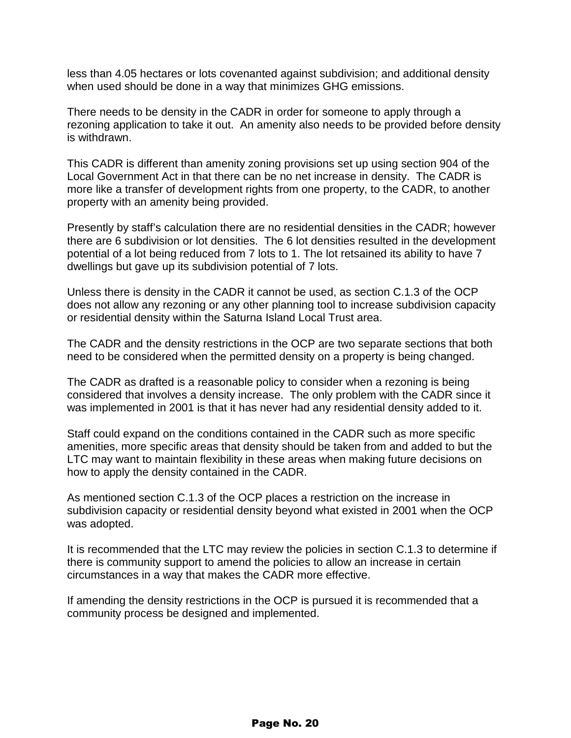less than 4.05 hectares or lots covenanted against subdivision; and additional density when used should be done in a way that minimizes GHG emissions.

There needs to be density in the CADR in order for someone to apply through a rezoning application to take it out. An amenity also needs to be provided before density is withdrawn.

This CADR is different than amenity zoning provisions set up using section 904 of the Local Government Act in that there can be no net increase in density. The CADR is more like a transfer of development rights from one property, to the CADR, to another property with an amenity being provided.

Presently by staff's calculation there are no residential densities in the CADR; however there are 6 subdivision or lot densities. The 6 lot densities resulted in the development potential of a lot being reduced from 7 lots to 1. The lot retsained its ability to have 7 dwellings but gave up its subdivision potential of 7 lots.

Unless there is density in the CADR it cannot be used, as section C.1.3 of the OCP does not allow any rezoning or any other planning tool to increase subdivision capacity or residential density within the Saturna Island Local Trust area.

The CADR and the density restrictions in the OCP are two separate sections that both need to be considered when the permitted density on a property is being changed.

The CADR as drafted is a reasonable policy to consider when a rezoning is being considered that involves a density increase. The only problem with the CADR since it was implemented in 2001 is that it has never had any residential density added to it.

Staff could expand on the conditions contained in the CADR such as more specific amenities, more specific areas that density should be taken from and added to but the LTC may want to maintain flexibility in these areas when making future decisions on how to apply the density contained in the CADR.

As mentioned section C.1.3 of the OCP places a restriction on the increase in subdivision capacity or residential density beyond what existed in 2001 when the OCP was adopted.

It is recommended that the LTC may review the policies in section C.1.3 to determine if there is community support to amend the policies to allow an increase in certain circumstances in a way that makes the CADR more effective.

If amending the density restrictions in the OCP is pursued it is recommended that a community process be designed and implemented.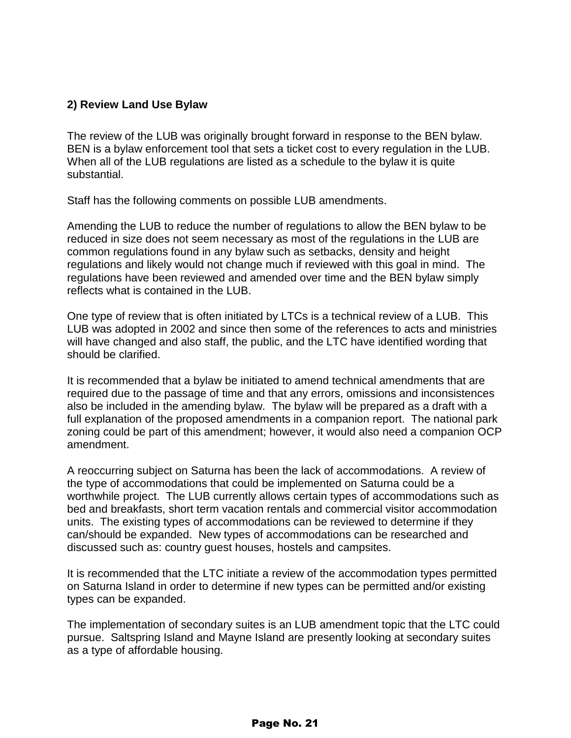#### **2) Review Land Use Bylaw**

The review of the LUB was originally brought forward in response to the BEN bylaw. BEN is a bylaw enforcement tool that sets a ticket cost to every regulation in the LUB. When all of the LUB regulations are listed as a schedule to the bylaw it is quite substantial.

Staff has the following comments on possible LUB amendments.

Amending the LUB to reduce the number of regulations to allow the BEN bylaw to be reduced in size does not seem necessary as most of the regulations in the LUB are common regulations found in any bylaw such as setbacks, density and height regulations and likely would not change much if reviewed with this goal in mind. The regulations have been reviewed and amended over time and the BEN bylaw simply reflects what is contained in the LUB.

One type of review that is often initiated by LTCs is a technical review of a LUB. This LUB was adopted in 2002 and since then some of the references to acts and ministries will have changed and also staff, the public, and the LTC have identified wording that should be clarified.

It is recommended that a bylaw be initiated to amend technical amendments that are required due to the passage of time and that any errors, omissions and inconsistences also be included in the amending bylaw. The bylaw will be prepared as a draft with a full explanation of the proposed amendments in a companion report. The national park zoning could be part of this amendment; however, it would also need a companion OCP amendment.

A reoccurring subject on Saturna has been the lack of accommodations. A review of the type of accommodations that could be implemented on Saturna could be a worthwhile project. The LUB currently allows certain types of accommodations such as bed and breakfasts, short term vacation rentals and commercial visitor accommodation units. The existing types of accommodations can be reviewed to determine if they can/should be expanded. New types of accommodations can be researched and discussed such as: country guest houses, hostels and campsites.

It is recommended that the LTC initiate a review of the accommodation types permitted on Saturna Island in order to determine if new types can be permitted and/or existing types can be expanded.

The implementation of secondary suites is an LUB amendment topic that the LTC could pursue. Saltspring Island and Mayne Island are presently looking at secondary suites as a type of affordable housing.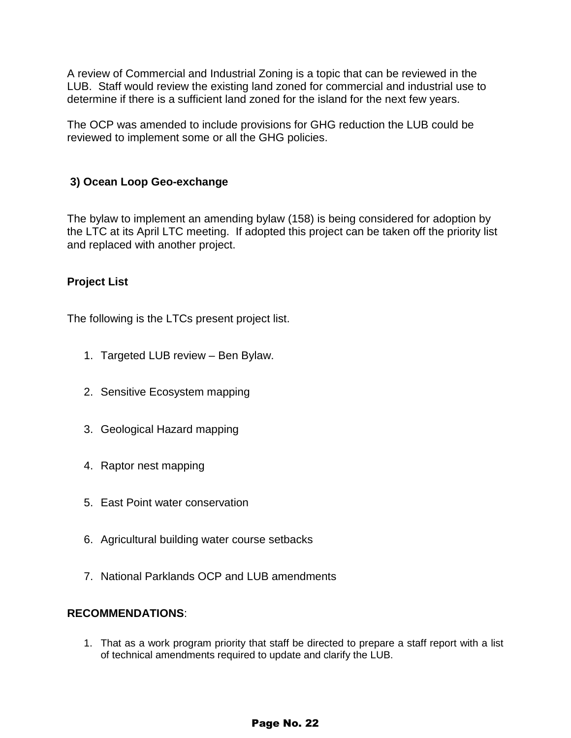A review of Commercial and Industrial Zoning is a topic that can be reviewed in the LUB. Staff would review the existing land zoned for commercial and industrial use to determine if there is a sufficient land zoned for the island for the next few years.

The OCP was amended to include provisions for GHG reduction the LUB could be reviewed to implement some or all the GHG policies.

#### **3) Ocean Loop Geo-exchange**

The bylaw to implement an amending bylaw (158) is being considered for adoption by the LTC at its April LTC meeting. If adopted this project can be taken off the priority list and replaced with another project.

#### **Project List**

The following is the LTCs present project list.

- 1. Targeted LUB review Ben Bylaw.
- 2. Sensitive Ecosystem mapping
- 3. Geological Hazard mapping
- 4. Raptor nest mapping
- 5. East Point water conservation
- 6. Agricultural building water course setbacks
- 7. National Parklands OCP and LUB amendments

#### **RECOMMENDATIONS**:

1. That as a work program priority that staff be directed to prepare a staff report with a list of technical amendments required to update and clarify the LUB.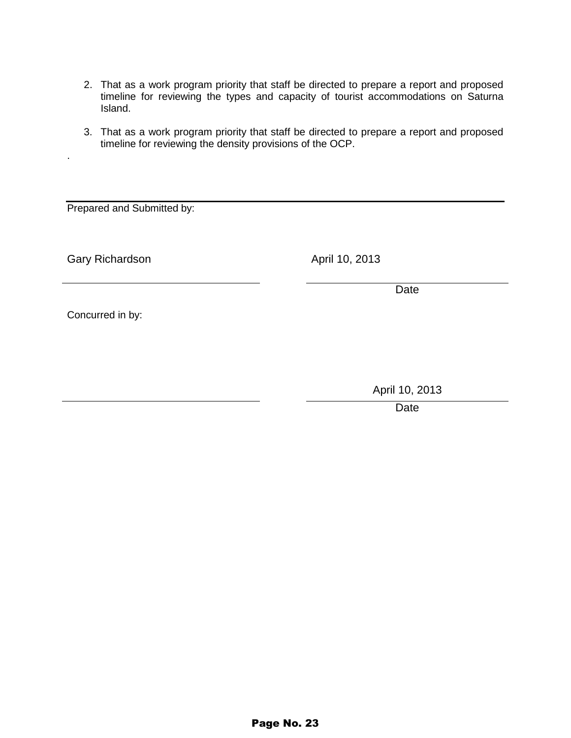- 2. That as a work program priority that staff be directed to prepare a report and proposed timeline for reviewing the types and capacity of tourist accommodations on Saturna Island.
- 3. That as a work program priority that staff be directed to prepare a report and proposed timeline for reviewing the density provisions of the OCP.

Prepared and Submitted by:

Gary Richardson **April 10, 2013** 

.

Date

Concurred in by:

April 10, 2013

Date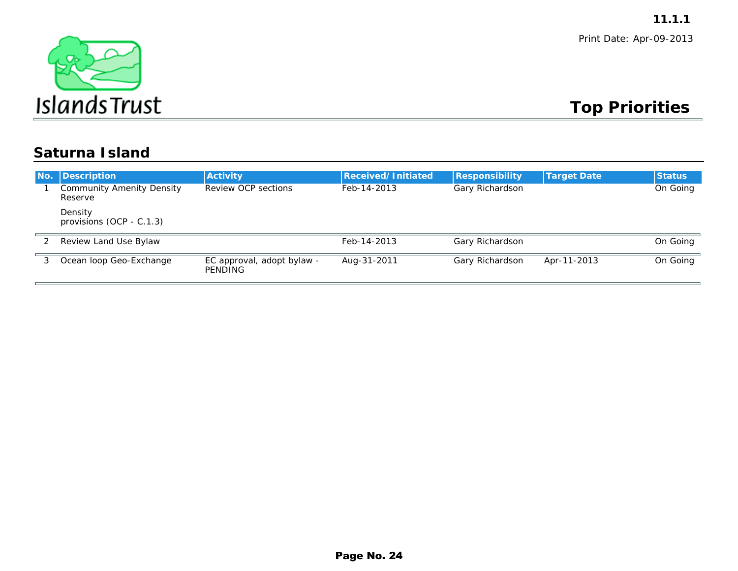

### **Top Priorities**

### **Saturna Island**

|                  |                                                    |                                              |                    |                        |                    | 11.1.1                  |
|------------------|----------------------------------------------------|----------------------------------------------|--------------------|------------------------|--------------------|-------------------------|
|                  | $\sigma_{\rm c}$                                   |                                              |                    |                        |                    | Print Date: Apr-09-2013 |
|                  | <b>IslandsTrust</b>                                |                                              |                    |                        |                    | <b>Top Priorities</b>   |
|                  | <b>Saturna Island</b>                              |                                              |                    |                        |                    |                         |
| No.              | <b>Description</b>                                 | <b>Activity</b>                              | Received/Initiated | <b>Responsibility</b>  | <b>Target Date</b> | <b>Status</b>           |
| $\mathbf{1}$     | <b>Community Amenity Density</b><br><b>Reserve</b> | <b>Review OCP sections</b>                   | Feb-14-2013        | <b>Gary Richardson</b> |                    | <b>On Going</b>         |
|                  | <b>Density</b><br>provisions (OCP - C.1.3)         |                                              |                    |                        |                    |                         |
| $\boldsymbol{2}$ | <b>Review Land Use Bylaw</b>                       |                                              | Feb-14-2013        | <b>Gary Richardson</b> |                    | <b>On Going</b>         |
| $\mathbf{3}$     | <b>Ocean loop Geo-Exchange</b>                     | EC approval, adopt bylaw -<br><b>PENDING</b> | Aug-31-2011        | <b>Gary Richardson</b> | Apr-11-2013        | <b>On Going</b>         |
|                  |                                                    |                                              |                    |                        |                    |                         |
|                  |                                                    |                                              | Page No. 24        |                        |                    |                         |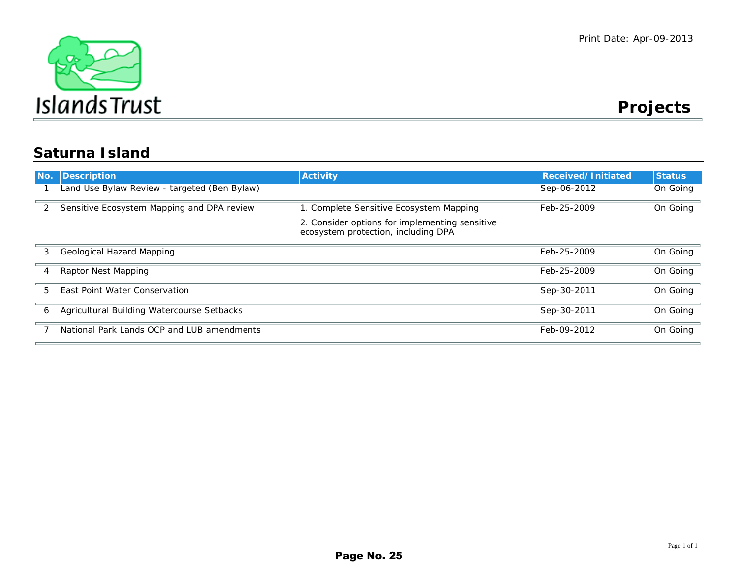

**Projects** 

### **Saturna Island**

| No. | <b>Description</b>                                | <b>Activity</b>                                                                       | <b>Received/Initiated</b> | <b>Status</b> |
|-----|---------------------------------------------------|---------------------------------------------------------------------------------------|---------------------------|---------------|
|     | Land Use Bylaw Review - targeted (Ben Bylaw)      |                                                                                       | Sep-06-2012               | On Going      |
| 2   | Sensitive Ecosystem Mapping and DPA review        | 1. Complete Sensitive Ecosystem Mapping                                               | Feb-25-2009               | On Going      |
|     |                                                   | 2. Consider options for implementing sensitive<br>ecosystem protection, including DPA |                           |               |
| 3.  | <b>Geological Hazard Mapping</b>                  |                                                                                       | Feb-25-2009               | On Going      |
| 4   | <b>Raptor Nest Mapping</b>                        |                                                                                       | Feb-25-2009               | On Going      |
| 5.  | <b>East Point Water Conservation</b>              |                                                                                       | Sep-30-2011               | On Going      |
| 6   | <b>Agricultural Building Watercourse Setbacks</b> |                                                                                       | Sep-30-2011               | On Going      |
|     | National Park Lands OCP and LUB amendments        |                                                                                       | Feb-09-2012               | On Going      |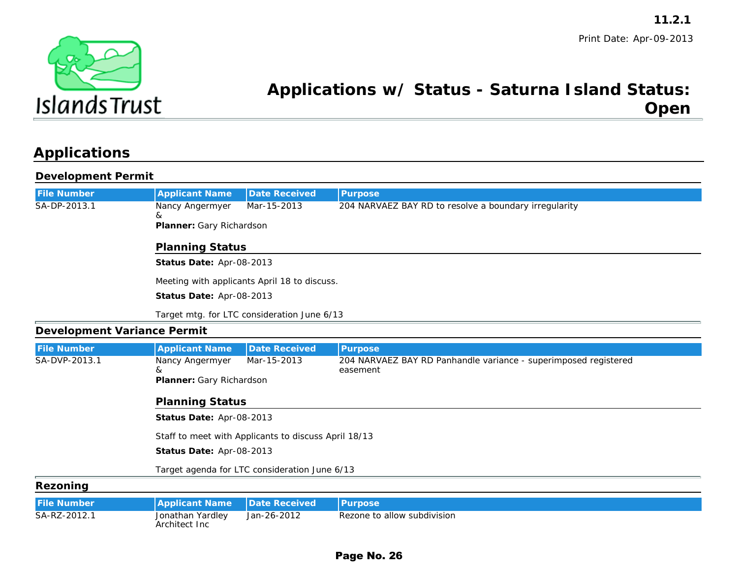

### **Applications w/ Status - Saturna Island Status:Open**

### **Applications**

#### **Development Permit**

|                                    |                                                 |                                                      | 11.2.1                                                                     |  |  |
|------------------------------------|-------------------------------------------------|------------------------------------------------------|----------------------------------------------------------------------------|--|--|
|                                    |                                                 |                                                      | Print Date: Apr-09-2013<br>Applications w/ Status - Saturna Island Status: |  |  |
| <b>Islands Trust</b>               |                                                 |                                                      | <b>Open</b>                                                                |  |  |
| <b>Applications</b>                |                                                 |                                                      |                                                                            |  |  |
| <b>Development Permit</b>          |                                                 |                                                      |                                                                            |  |  |
| <b>File Number</b>                 | <b>Applicant Name</b>                           | <b>Date Received</b>                                 | <b>Purpose</b>                                                             |  |  |
| SA-DP-2013.1                       | <b>Nancy Angermyer</b>                          | Mar-15-2013                                          | 204 NARVAEZ BAY RD to resolve a boundary irregularity                      |  |  |
|                                    | &<br><b>Planner: Gary Richardson</b>            |                                                      |                                                                            |  |  |
|                                    | <b>Planning Status</b>                          |                                                      |                                                                            |  |  |
|                                    | Status Date: Apr-08-2013                        |                                                      |                                                                            |  |  |
|                                    |                                                 | Meeting with applicants April 18 to discuss.         |                                                                            |  |  |
|                                    | Status Date: Apr-08-2013                        |                                                      |                                                                            |  |  |
|                                    |                                                 | Target mtg. for LTC consideration June 6/13          |                                                                            |  |  |
| <b>Development Variance Permit</b> |                                                 |                                                      |                                                                            |  |  |
| <b>File Number</b>                 | <b>Applicant Name</b>                           | <b>Date Received</b>                                 | <b>Purpose</b>                                                             |  |  |
| <b>SA-DVP-2013.1</b>               | <b>Nancy Angermyer</b>                          | Mar-15-2013                                          | 204 NARVAEZ BAY RD Panhandle variance - superimposed registered            |  |  |
|                                    | <b>Planner: Gary Richardson</b>                 |                                                      | easement                                                                   |  |  |
|                                    | <b>Planning Status</b>                          |                                                      |                                                                            |  |  |
|                                    | Status Date: Apr-08-2013                        |                                                      |                                                                            |  |  |
|                                    |                                                 | Staff to meet with Applicants to discuss April 18/13 |                                                                            |  |  |
|                                    | Status Date: Apr-08-2013                        |                                                      |                                                                            |  |  |
|                                    |                                                 | Target agenda for LTC consideration June 6/13        |                                                                            |  |  |
| <b>Rezoning</b>                    |                                                 |                                                      |                                                                            |  |  |
| <b>File Number</b>                 | <b>Applicant Name</b>                           | <b>Date Received</b>                                 | <b>Purpose</b>                                                             |  |  |
| SA-RZ-2012.1                       | <b>Jonathan Yardley</b><br><b>Architect Inc</b> | Jan-26-2012                                          | <b>Rezone to allow subdivision</b>                                         |  |  |
|                                    |                                                 |                                                      | Page No. 26                                                                |  |  |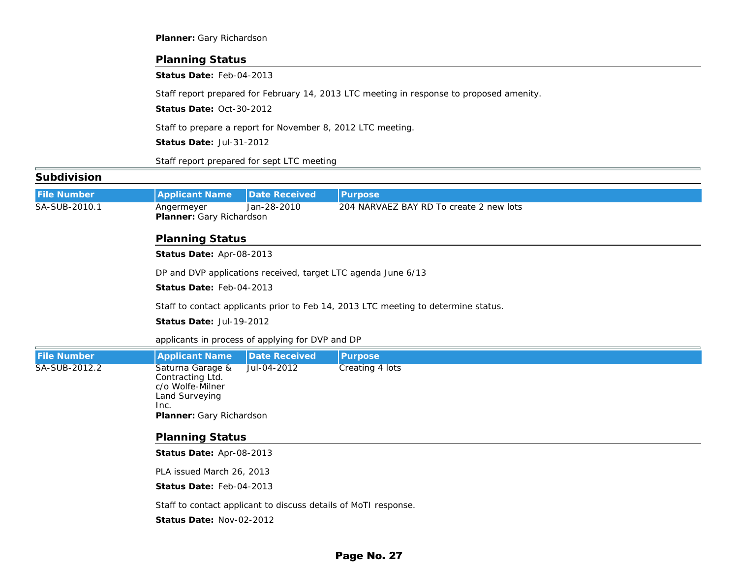|                    | <b>Planner: Gary Richardson</b>                                                                                                     |                      |                                                                                    |  |  |  |  |
|--------------------|-------------------------------------------------------------------------------------------------------------------------------------|----------------------|------------------------------------------------------------------------------------|--|--|--|--|
|                    | <b>Planning Status</b>                                                                                                              |                      |                                                                                    |  |  |  |  |
|                    | Status Date: Feb-04-2013                                                                                                            |                      |                                                                                    |  |  |  |  |
|                    | Staff report prepared for February 14, 2013 LTC meeting in response to proposed amenity.                                            |                      |                                                                                    |  |  |  |  |
|                    | Status Date: Oct-30-2012                                                                                                            |                      |                                                                                    |  |  |  |  |
|                    | Staff to prepare a report for November 8, 2012 LTC meeting.                                                                         |                      |                                                                                    |  |  |  |  |
|                    | Status Date: Jul-31-2012                                                                                                            |                      |                                                                                    |  |  |  |  |
|                    | Staff report prepared for sept LTC meeting                                                                                          |                      |                                                                                    |  |  |  |  |
| <b>Subdivision</b> |                                                                                                                                     |                      |                                                                                    |  |  |  |  |
| <b>File Number</b> | <b>Applicant Name</b>                                                                                                               | <b>Date Received</b> | <b>Purpose</b>                                                                     |  |  |  |  |
| SA-SUB-2010.1      | <b>Angermeyer</b><br>Jan-28-2010<br>204 NARVAEZ BAY RD To create 2 new lots<br><b>Planner: Gary Richardson</b>                      |                      |                                                                                    |  |  |  |  |
|                    | <b>Planning Status</b>                                                                                                              |                      |                                                                                    |  |  |  |  |
|                    | Status Date: Apr-08-2013                                                                                                            |                      |                                                                                    |  |  |  |  |
|                    | DP and DVP applications received, target LTC agenda June 6/13                                                                       |                      |                                                                                    |  |  |  |  |
|                    | Status Date: Feb-04-2013                                                                                                            |                      |                                                                                    |  |  |  |  |
|                    |                                                                                                                                     |                      | Staff to contact applicants prior to Feb 14, 2013 LTC meeting to determine status. |  |  |  |  |
|                    | Status Date: Jul-19-2012                                                                                                            |                      |                                                                                    |  |  |  |  |
|                    | applicants in process of applying for DVP and DP                                                                                    |                      |                                                                                    |  |  |  |  |
| <b>File Number</b> | <b>Applicant Name</b>                                                                                                               | <b>Date Received</b> | <b>Purpose</b>                                                                     |  |  |  |  |
| SA-SUB-2012.2      | Saturna Garage &<br><b>Contracting Ltd.</b><br>c/o Wolfe-Milner<br><b>Land Surveying</b><br>Inc.<br><b>Planner: Gary Richardson</b> | Jul-04-2012          | <b>Creating 4 lots</b>                                                             |  |  |  |  |
|                    | <b>Planning Status</b>                                                                                                              |                      |                                                                                    |  |  |  |  |
|                    | Status Date: Apr-08-2013                                                                                                            |                      |                                                                                    |  |  |  |  |
|                    | PLA issued March 26, 2013                                                                                                           |                      |                                                                                    |  |  |  |  |
|                    | Status Date: Feb-04-2013                                                                                                            |                      |                                                                                    |  |  |  |  |
|                    | Staff to contact applicant to discuss details of MoTI response.                                                                     |                      |                                                                                    |  |  |  |  |
|                    | Status Date: Nov-02-2012                                                                                                            |                      |                                                                                    |  |  |  |  |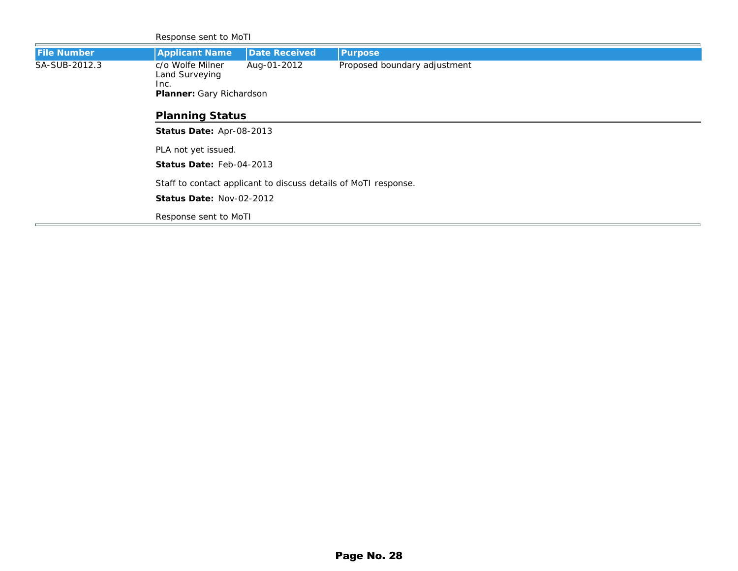|                      | <b>Response sent to MoTI</b>                                    |                                                                                |                |  |  |  |
|----------------------|-----------------------------------------------------------------|--------------------------------------------------------------------------------|----------------|--|--|--|
| <b>File Number</b>   | <b>Applicant Name</b>                                           | <b>Date Received</b>                                                           | <b>Purpose</b> |  |  |  |
| <b>SA-SUB-2012.3</b> | c/o Wolfe Milner<br><b>Land Surveying</b><br>Inc.               | Aug-01-2012<br>Proposed boundary adjustment<br><b>Planner: Gary Richardson</b> |                |  |  |  |
|                      | <b>Planning Status</b>                                          |                                                                                |                |  |  |  |
|                      | Status Date: Apr-08-2013                                        |                                                                                |                |  |  |  |
|                      | PLA not yet issued.                                             |                                                                                |                |  |  |  |
|                      | <b>Status Date: Feb-04-2013</b>                                 |                                                                                |                |  |  |  |
|                      | Staff to contact applicant to discuss details of MoTI response. |                                                                                |                |  |  |  |
|                      | <b>Status Date: Nov-02-2012</b>                                 |                                                                                |                |  |  |  |
|                      | <b>Response sent to MoTI</b>                                    |                                                                                |                |  |  |  |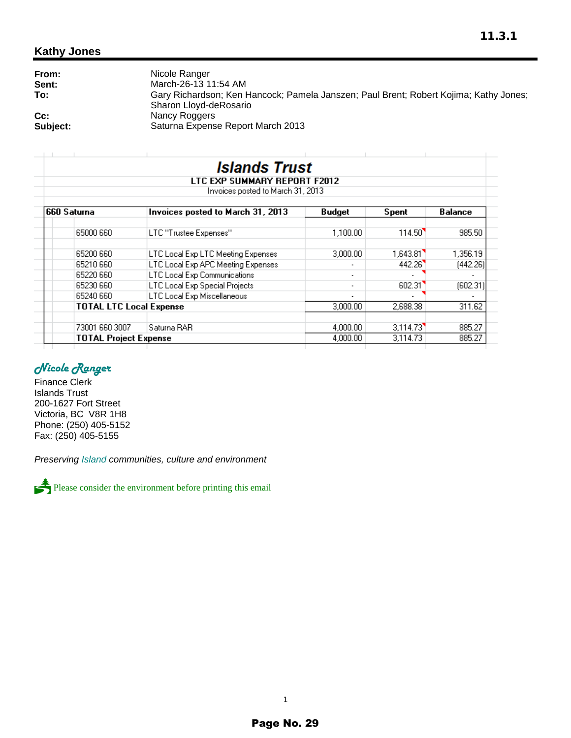#### **Kathy Jones**

| From:    | Nicole Ranger                                                                                                   |
|----------|-----------------------------------------------------------------------------------------------------------------|
| Sent:    | March-26-13 11:54 AM                                                                                            |
| To:      | Gary Richardson; Ken Hancock; Pamela Janszen; Paul Brent; Robert Kojima; Kathy Jones;<br>Sharon Lloyd-deRosario |
| $Cc$ :   | Nancy Roggers                                                                                                   |
| Subject: | Saturna Expense Report March 2013                                                                               |

|             |                                | <i><b>Islands Trust</b></i><br>LTC EXP SUMMARY REPORT F2012 |                          |          |                |
|-------------|--------------------------------|-------------------------------------------------------------|--------------------------|----------|----------------|
|             |                                | Invoices posted to March 31, 2013                           |                          |          |                |
| 660 Saturna |                                | Invoices posted to March 31, 2013                           | Budget                   | Spent    | <b>Balance</b> |
|             | 65000 660                      | LTC "Trustee Expenses"                                      | 1.100.00                 | 114.50   | 985.50         |
|             | 65200 660                      | LTC Local Exp LTC Meeting Expenses                          | 3,000.00                 | 1,643.81 | 1,356.19       |
|             | 65210 660                      | LTC Local Exp APC Meeting Expenses                          |                          | 442.26   | (442.26)       |
|             | 65220 660                      | <b>LTC Local Exp Communications</b>                         |                          |          |                |
|             | 65230 660                      | LTC Local Exp Special Projects                              | $\overline{\phantom{a}}$ | 602.31   | (602.31)       |
|             | 65240 660                      | LTC Local Exp Miscellaneous                                 | $\overline{\phantom{a}}$ |          |                |
|             | <b>TOTAL LTC Local Expense</b> |                                                             | 3,000.00                 | 2,688.38 | 311.62         |
|             | 73001 660 3007                 | Saturna RAR                                                 | 4,000.00                 | 3,114.73 | 885.27         |
|             | <b>TOTAL Project Expense</b>   |                                                             | 4,000.00                 | 3.114.73 | 885.27         |

#### *Nicole Ranger*

Finance Clerk Islands Trust 200-1627 Fort Street Victoria, BC V8R 1H8 Phone: (250) 405-5152 Fax: (250) 405-5155

*Preserving Island communities, culture and environment*



Please consider the environment before printing this email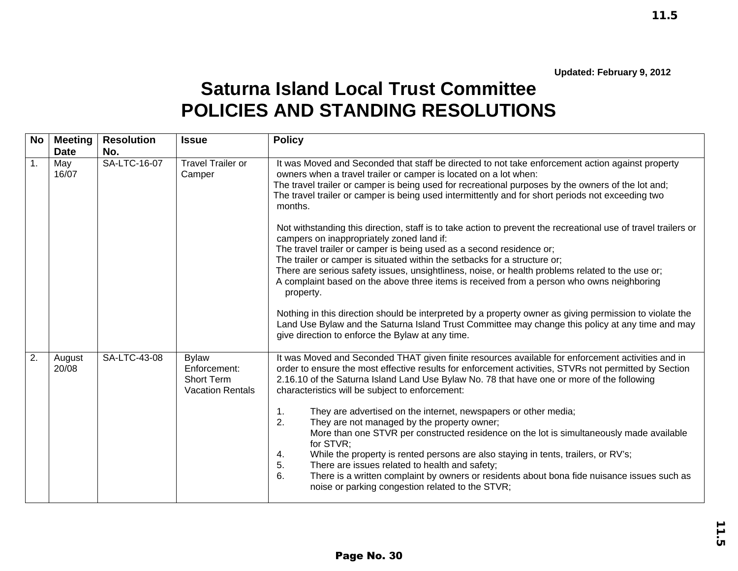$11.5$ 

## **Saturna Island Local Trust Committee POLICIES AND STANDING RESOLUTIONS**

|                                            |                          |                                                                              | 11.5                                                                                                                                                                                                                                                                                                                                                                                                                                                                                                                                                                                                                                                                                                                                                                                                                                                                                                                                                                                                                                                                                                                                        |
|--------------------------------------------|--------------------------|------------------------------------------------------------------------------|---------------------------------------------------------------------------------------------------------------------------------------------------------------------------------------------------------------------------------------------------------------------------------------------------------------------------------------------------------------------------------------------------------------------------------------------------------------------------------------------------------------------------------------------------------------------------------------------------------------------------------------------------------------------------------------------------------------------------------------------------------------------------------------------------------------------------------------------------------------------------------------------------------------------------------------------------------------------------------------------------------------------------------------------------------------------------------------------------------------------------------------------|
|                                            |                          |                                                                              | Updated: February 9, 2012<br><b>Saturna Island Local Trust Committee</b><br><b>POLICIES AND STANDING RESOLUTIONS</b>                                                                                                                                                                                                                                                                                                                                                                                                                                                                                                                                                                                                                                                                                                                                                                                                                                                                                                                                                                                                                        |
| <b>Meeting</b><br><b>No</b><br><b>Date</b> | <b>Resolution</b><br>No. | <b>Issue</b>                                                                 | <b>Policy</b>                                                                                                                                                                                                                                                                                                                                                                                                                                                                                                                                                                                                                                                                                                                                                                                                                                                                                                                                                                                                                                                                                                                               |
| May<br>16/07                               | SA-LTC-16-07             | <b>Travel Trailer or</b><br>Camper                                           | It was Moved and Seconded that staff be directed to not take enforcement action against property<br>owners when a travel trailer or camper is located on a lot when:<br>The travel trailer or camper is being used for recreational purposes by the owners of the lot and;<br>The travel trailer or camper is being used intermittently and for short periods not exceeding two<br>months.<br>Not withstanding this direction, staff is to take action to prevent the recreational use of travel trailers or<br>campers on inappropriately zoned land if:<br>The travel trailer or camper is being used as a second residence or;<br>The trailer or camper is situated within the setbacks for a structure or;<br>There are serious safety issues, unsightliness, noise, or health problems related to the use or;<br>A complaint based on the above three items is received from a person who owns neighboring<br>property.<br>Nothing in this direction should be interpreted by a property owner as giving permission to violate the<br>Land Use Bylaw and the Saturna Island Trust Committee may change this policy at any time and may |
| August<br>20/08                            | SA-LTC-43-08             | <b>Bylaw</b><br>Enforcement:<br><b>Short Term</b><br><b>Vacation Rentals</b> | give direction to enforce the Bylaw at any time.<br>It was Moved and Seconded THAT given finite resources available for enforcement activities and in<br>order to ensure the most effective results for enforcement activities, STVRs not permitted by Section<br>2.16.10 of the Saturna Island Land Use Bylaw No. 78 that have one or more of the following<br>characteristics will be subject to enforcement:<br>They are advertised on the internet, newspapers or other media;<br>1.<br>2.<br>They are not managed by the property owner;<br>More than one STVR per constructed residence on the lot is simultaneously made available<br>for STVR;<br>While the property is rented persons are also staying in tents, trailers, or RV's;<br>4.<br>5.<br>There are issues related to health and safety;<br>There is a written complaint by owners or residents about bona fide nuisance issues such as<br>6.<br>noise or parking congestion related to the STVR;                                                                                                                                                                         |
|                                            |                          |                                                                              |                                                                                                                                                                                                                                                                                                                                                                                                                                                                                                                                                                                                                                                                                                                                                                                                                                                                                                                                                                                                                                                                                                                                             |

Page No. 30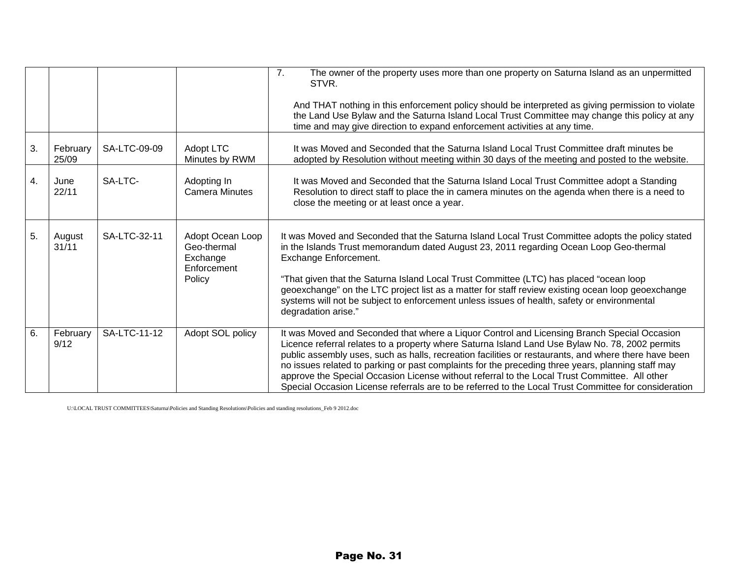|    |                   |              |                                                                      | The owner of the property uses more than one property on Saturna Island as an unpermitted<br>7.<br>STVR.<br>And THAT nothing in this enforcement policy should be interpreted as giving permission to violate<br>the Land Use Bylaw and the Saturna Island Local Trust Committee may change this policy at any<br>time and may give direction to expand enforcement activities at any time.                                                                                                                                                                                                                          |
|----|-------------------|--------------|----------------------------------------------------------------------|----------------------------------------------------------------------------------------------------------------------------------------------------------------------------------------------------------------------------------------------------------------------------------------------------------------------------------------------------------------------------------------------------------------------------------------------------------------------------------------------------------------------------------------------------------------------------------------------------------------------|
| 3. | February<br>25/09 | SA-LTC-09-09 | Adopt LTC<br>Minutes by RWM                                          | It was Moved and Seconded that the Saturna Island Local Trust Committee draft minutes be<br>adopted by Resolution without meeting within 30 days of the meeting and posted to the website.                                                                                                                                                                                                                                                                                                                                                                                                                           |
| 4. | June<br>22/11     | SA-LTC-      | Adopting In<br><b>Camera Minutes</b>                                 | It was Moved and Seconded that the Saturna Island Local Trust Committee adopt a Standing<br>Resolution to direct staff to place the in camera minutes on the agenda when there is a need to<br>close the meeting or at least once a year.                                                                                                                                                                                                                                                                                                                                                                            |
| 5. | August<br>31/11   | SA-LTC-32-11 | Adopt Ocean Loop<br>Geo-thermal<br>Exchange<br>Enforcement<br>Policy | It was Moved and Seconded that the Saturna Island Local Trust Committee adopts the policy stated<br>in the Islands Trust memorandum dated August 23, 2011 regarding Ocean Loop Geo-thermal<br>Exchange Enforcement.<br>"That given that the Saturna Island Local Trust Committee (LTC) has placed "ocean loop<br>geoexchange" on the LTC project list as a matter for staff review existing ocean loop geoexchange<br>systems will not be subject to enforcement unless issues of health, safety or environmental<br>degradation arise."                                                                             |
| 6. | February<br>9/12  | SA-LTC-11-12 | Adopt SOL policy                                                     | It was Moved and Seconded that where a Liquor Control and Licensing Branch Special Occasion<br>Licence referral relates to a property where Saturna Island Land Use Bylaw No. 78, 2002 permits<br>public assembly uses, such as halls, recreation facilities or restaurants, and where there have been<br>no issues related to parking or past complaints for the preceding three years, planning staff may<br>approve the Special Occasion License without referral to the Local Trust Committee. All other<br>Special Occasion License referrals are to be referred to the Local Trust Committee for consideration |

U:\LOCAL TRUST COMMITTEES\Saturna\Policies and Standing Resolutions\Policies and standing resolutions\_Feb 9 2012.doc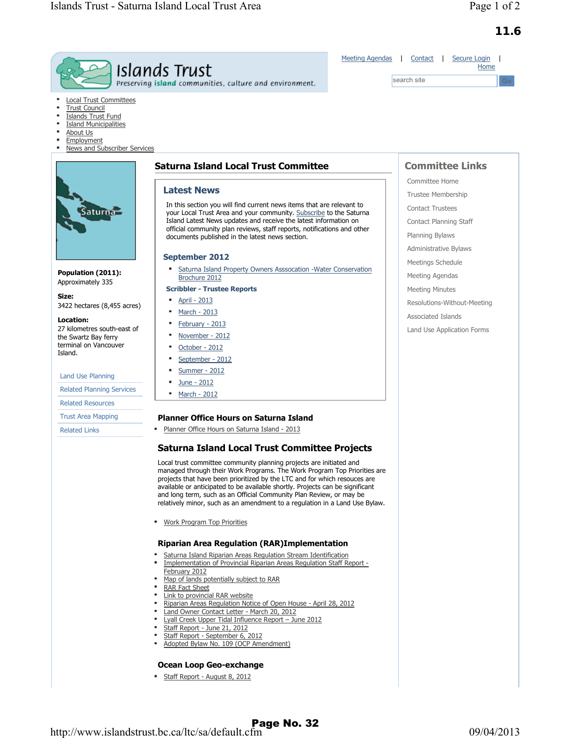|                                                                                                                                                                              | <b>Meeting Agendas</b><br>Islands Trust<br>Preserving island communities, culture and environment.                                          | Contact<br>Secure Login<br>Home<br>search site<br>Go |  |
|------------------------------------------------------------------------------------------------------------------------------------------------------------------------------|---------------------------------------------------------------------------------------------------------------------------------------------|------------------------------------------------------|--|
| <b>Local Trust Committees</b><br><b>Trust Council</b><br><b>Islands Trust Fund</b><br><b>Island Municipalities</b><br>About Us<br>Employment<br>News and Subscriber Services |                                                                                                                                             |                                                      |  |
|                                                                                                                                                                              | <b>Saturna Island Local Trust Committee</b>                                                                                                 | <b>Committee Links</b>                               |  |
|                                                                                                                                                                              | <b>Latest News</b>                                                                                                                          | Committee Home                                       |  |
|                                                                                                                                                                              |                                                                                                                                             | Trustee Membership                                   |  |
| Saturna <sub>2</sub>                                                                                                                                                         | In this section you will find current news items that are relevant to<br>your Local Trust Area and your community. Subscribe to the Saturna | <b>Contact Trustees</b>                              |  |
|                                                                                                                                                                              | Island Latest News updates and receive the latest information on                                                                            | Contact Planning Staff                               |  |
|                                                                                                                                                                              | official community plan reviews, staff reports, notifications and other<br>documents published in the latest news section.                  | Planning Bylaws                                      |  |
|                                                                                                                                                                              |                                                                                                                                             | Administrative Bylaws                                |  |
|                                                                                                                                                                              | <b>September 2012</b>                                                                                                                       | Meetings Schedule                                    |  |
| Population (2011):                                                                                                                                                           | Saturna Island Property Owners Asssocation - Water Conservation<br>Brochure 2012                                                            | Meeting Agendas                                      |  |
| Approximately 335                                                                                                                                                            | <b>Scribbler - Trustee Reports</b>                                                                                                          | <b>Meeting Minutes</b>                               |  |
| Size:<br>3422 hectares (8,455 acres)                                                                                                                                         | April - 2013                                                                                                                                | Resolutions-Without-Meeting                          |  |
|                                                                                                                                                                              | March - 2013                                                                                                                                | Associated Islands                                   |  |
| Location:<br>27 kilometres south-east of                                                                                                                                     | February - 2013                                                                                                                             | Land Use Application Forms                           |  |
| the Swartz Bay ferry                                                                                                                                                         | November - 2012                                                                                                                             |                                                      |  |
| terminal on Vancouver<br>Island.                                                                                                                                             | October - 2012<br>٠                                                                                                                         |                                                      |  |
|                                                                                                                                                                              | September - 2012<br>٠                                                                                                                       |                                                      |  |
| Land Use Planning                                                                                                                                                            | Summer - 2012                                                                                                                               |                                                      |  |
| <b>Related Planning Services</b>                                                                                                                                             | June - 2012<br>March - 2012                                                                                                                 |                                                      |  |
| <b>Related Resources</b>                                                                                                                                                     |                                                                                                                                             |                                                      |  |
| <b>Trust Area Mapping</b>                                                                                                                                                    | <b>Planner Office Hours on Saturna Island</b>                                                                                               |                                                      |  |
| <b>Related Links</b>                                                                                                                                                         | Planner Office Hours on Saturna Island - 2013                                                                                               |                                                      |  |

Local trust committee community planning projects are initiated and managed through their Work Programs. The Work Program Top Priorities are projects that have been prioritized by the LTC and for which resouces are available or anticipated to be available shortly. Projects can be significant and long term, such as an Official Community Plan Review, or may be relatively minor, such as an amendment to a regulation in a Land Use Bylaw.

Work Program Top Priorities

#### **Riparian Area Regulation (RAR)Implementation**

- \* Saturna Island Riparian Areas Regulation Stream Identification
- Implementation of Provincial Riparian Areas Regulation Staff Report February 2012
- Map of lands potentially subject to RAR
- RAR Fact Sheet
- Link to provincial RAR website
- Riparian Areas Regulation Notice of Open House April 28, 2012
- Land Owner Contact Letter March 20, 2012 Lyall Creek Upper Tidal Influence Report – June 2012
- 
- Staff Report June 21, 2012 Staff Report - September 6, 2012
- . Adopted Bylaw No. 109 (OCP Amendment)

#### **Ocean Loop Geo-exchange**

Staff Report - August 8, 2012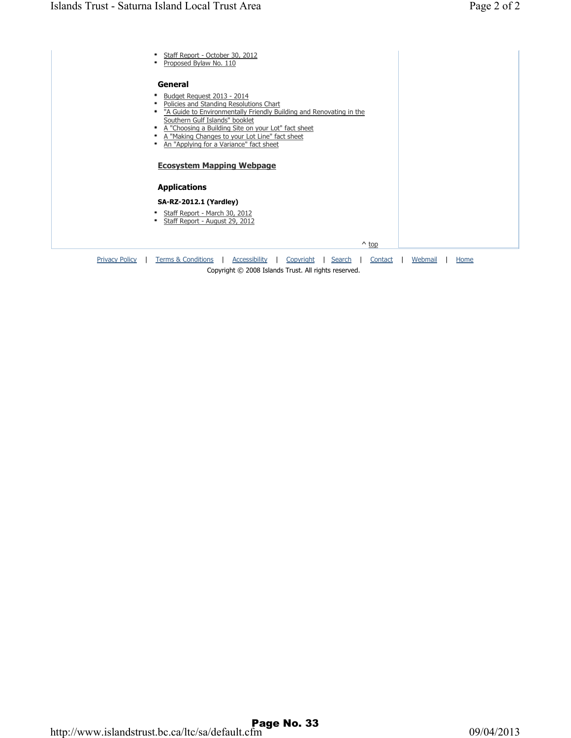| Staff Report - October 30, 2012<br>Proposed Bylaw No. 110<br>٠                                                                                                                                                                                                                                              |
|-------------------------------------------------------------------------------------------------------------------------------------------------------------------------------------------------------------------------------------------------------------------------------------------------------------|
| General                                                                                                                                                                                                                                                                                                     |
| Budget Reguest 2013 - 2014<br>Policies and Standing Resolutions Chart<br>٠<br>"A Guide to Environmentally Friendly Building and Renovating in the<br>٠<br>Southern Gulf Islands" booklet<br>A "Choosing a Building Site on your Lot" fact sheet<br>٠<br>A "Making Changes to your Lot Line" fact sheet<br>٠ |
| An "Applying for a Variance" fact sheet<br>٠                                                                                                                                                                                                                                                                |
| <b>Ecosystem Mapping Webpage</b>                                                                                                                                                                                                                                                                            |
| <b>Applications</b>                                                                                                                                                                                                                                                                                         |
| <b>SA-RZ-2012.1 (Yardley)</b>                                                                                                                                                                                                                                                                               |
| Staff Report - March 30, 2012<br>٠<br>Staff Report - August 29, 2012<br>٠                                                                                                                                                                                                                                   |
| $\wedge$ top                                                                                                                                                                                                                                                                                                |
| <b>Privacy Policy</b><br><b>Terms &amp; Conditions</b><br>Accessibility<br>Copyright<br>Search<br>Webmail<br>Contact<br>Home                                                                                                                                                                                |
| Copyright © 2008 Islands Trust. All rights reserved.                                                                                                                                                                                                                                                        |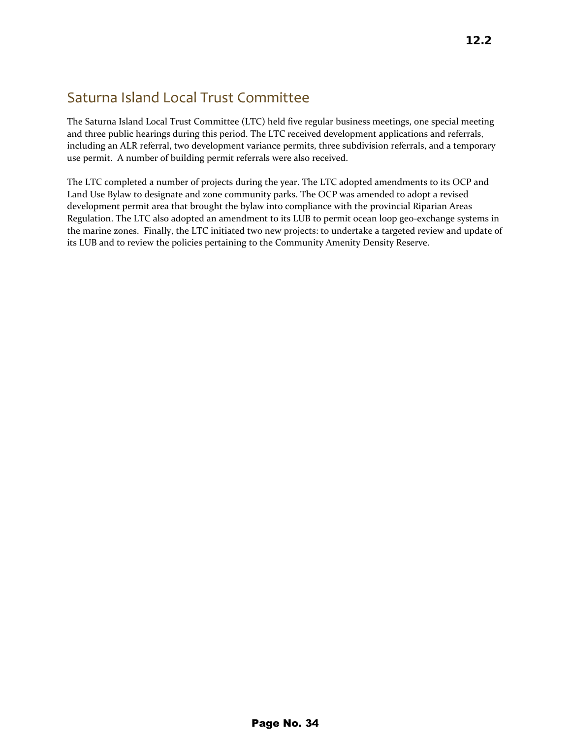### Saturna Island Local Trust Committee

The Saturna Island Local Trust Committee (LTC) held five regular business meetings, one special meeting and three public hearings during this period. The LTC received development applications and referrals, including an ALR referral, two development variance permits, three subdivision referrals, and a temporary use permit. A number of building permit referrals were also received.

The LTC completed a number of projects during the year. The LTC adopted amendments to its OCP and Land Use Bylaw to designate and zone community parks. The OCP was amended to adopt a revised development permit area that brought the bylaw into compliance with the provincial Riparian Areas Regulation. The LTC also adopted an amendment to its LUB to permit ocean loop geo‐exchange systems in the marine zones. Finally, the LTC initiated two new projects: to undertake a targeted review and update of its LUB and to review the policies pertaining to the Community Amenity Density Reserve.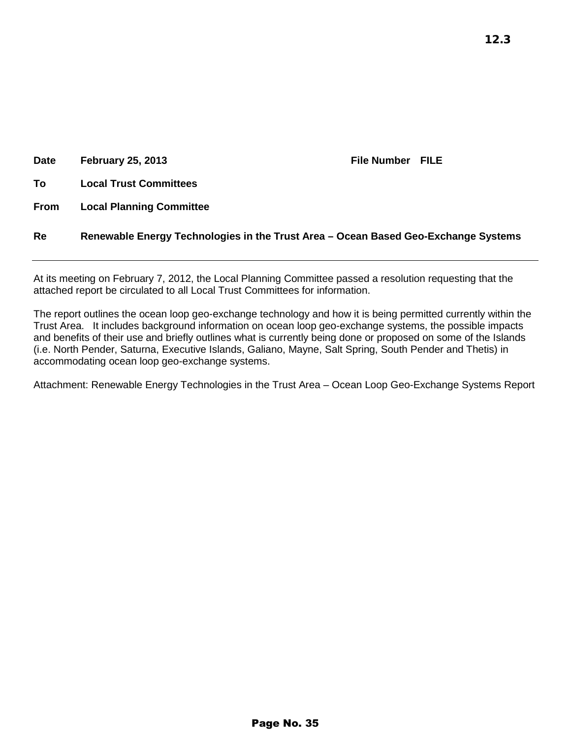| <b>Date</b> | <b>February 25, 2013</b>                                                           | <b>File Number FILE</b> |  |
|-------------|------------------------------------------------------------------------------------|-------------------------|--|
| To          | <b>Local Trust Committees</b>                                                      |                         |  |
| <b>From</b> | <b>Local Planning Committee</b>                                                    |                         |  |
| Re          | Renewable Energy Technologies in the Trust Area – Ocean Based Geo-Exchange Systems |                         |  |

At its meeting on February 7, 2012, the Local Planning Committee passed a resolution requesting that the attached report be circulated to all Local Trust Committees for information.

The report outlines the ocean loop geo-exchange technology and how it is being permitted currently within the Trust Area. It includes background information on ocean loop geo-exchange systems, the possible impacts and benefits of their use and briefly outlines what is currently being done or proposed on some of the Islands (i.e. North Pender, Saturna, Executive Islands, Galiano, Mayne, Salt Spring, South Pender and Thetis) in accommodating ocean loop geo-exchange systems.

Attachment: Renewable Energy Technologies in the Trust Area – Ocean Loop Geo-Exchange Systems Report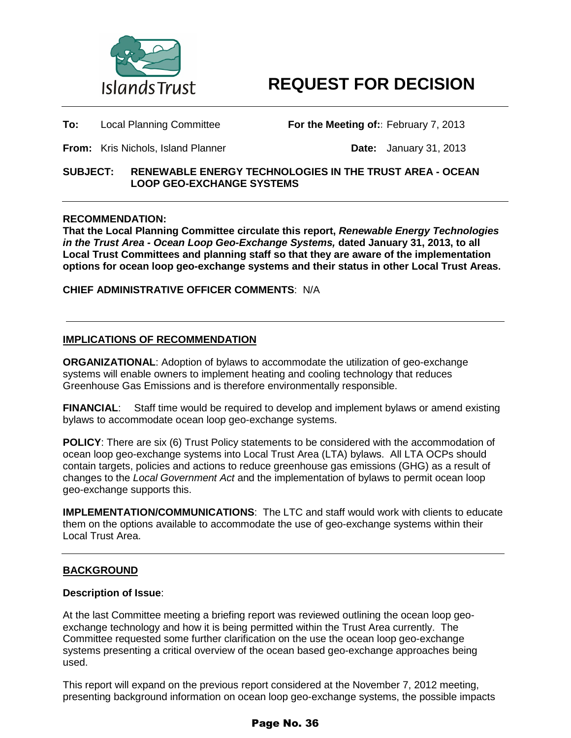

**To:** Local Planning Committee **For the Meeting of::** February 7, 2013

**From:** Kris Nichols, Island Planner **Date:** January 31, 2013

#### **SUBJECT: RENEWABLE ENERGY TECHNOLOGIES IN THE TRUST AREA - OCEAN LOOP GEO-EXCHANGE SYSTEMS**

#### **RECOMMENDATION:**

**That the Local Planning Committee circulate this report,** *Renewable Energy Technologies in the Trust Area - Ocean Loop Geo-Exchange Systems,* **dated January 31, 2013, to all Local Trust Committees and planning staff so that they are aware of the implementation options for ocean loop geo-exchange systems and their status in other Local Trust Areas.**

**CHIEF ADMINISTRATIVE OFFICER COMMENTS**: N/A

#### **IMPLICATIONS OF RECOMMENDATION**

**ORGANIZATIONAL**: Adoption of bylaws to accommodate the utilization of geo-exchange systems will enable owners to implement heating and cooling technology that reduces Greenhouse Gas Emissions and is therefore environmentally responsible.

**FINANCIAL**: Staff time would be required to develop and implement bylaws or amend existing bylaws to accommodate ocean loop geo-exchange systems.

**POLICY**: There are six (6) Trust Policy statements to be considered with the accommodation of ocean loop geo-exchange systems into Local Trust Area (LTA) bylaws. All LTA OCPs should contain targets, policies and actions to reduce greenhouse gas emissions (GHG) as a result of changes to the *Local Government Act* and the implementation of bylaws to permit ocean loop geo-exchange supports this.

**IMPLEMENTATION/COMMUNICATIONS**: The LTC and staff would work with clients to educate them on the options available to accommodate the use of geo-exchange systems within their Local Trust Area.

#### **BACKGROUND**

#### **Description of Issue**:

At the last Committee meeting a briefing report was reviewed outlining the ocean loop geoexchange technology and how it is being permitted within the Trust Area currently. The Committee requested some further clarification on the use the ocean loop geo-exchange systems presenting a critical overview of the ocean based geo-exchange approaches being used.

This report will expand on the previous report considered at the November 7, 2012 meeting, presenting background information on ocean loop geo-exchange systems, the possible impacts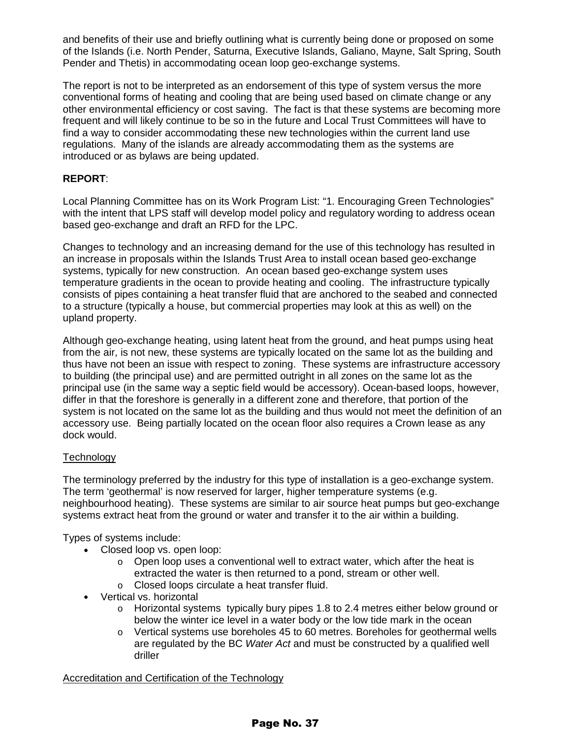and benefits of their use and briefly outlining what is currently being done or proposed on some of the Islands (i.e. North Pender, Saturna, Executive Islands, Galiano, Mayne, Salt Spring, South Pender and Thetis) in accommodating ocean loop geo-exchange systems.

The report is not to be interpreted as an endorsement of this type of system versus the more conventional forms of heating and cooling that are being used based on climate change or any other environmental efficiency or cost saving. The fact is that these systems are becoming more frequent and will likely continue to be so in the future and Local Trust Committees will have to find a way to consider accommodating these new technologies within the current land use regulations. Many of the islands are already accommodating them as the systems are introduced or as bylaws are being updated.

#### **REPORT**:

Local Planning Committee has on its Work Program List: "1. Encouraging Green Technologies" with the intent that LPS staff will develop model policy and regulatory wording to address ocean based geo-exchange and draft an RFD for the LPC.

Changes to technology and an increasing demand for the use of this technology has resulted in an increase in proposals within the Islands Trust Area to install ocean based geo-exchange systems, typically for new construction. An ocean based geo-exchange system uses temperature gradients in the ocean to provide heating and cooling. The infrastructure typically consists of pipes containing a heat transfer fluid that are anchored to the seabed and connected to a structure (typically a house, but commercial properties may look at this as well) on the upland property.

Although geo-exchange heating, using latent heat from the ground, and heat pumps using heat from the air, is not new, these systems are typically located on the same lot as the building and thus have not been an issue with respect to zoning. These systems are infrastructure accessory to building (the principal use) and are permitted outright in all zones on the same lot as the principal use (in the same way a septic field would be accessory). Ocean-based loops, however, differ in that the foreshore is generally in a different zone and therefore, that portion of the system is not located on the same lot as the building and thus would not meet the definition of an accessory use. Being partially located on the ocean floor also requires a Crown lease as any dock would.

#### Technology

The terminology preferred by the industry for this type of installation is a geo-exchange system. The term 'geothermal' is now reserved for larger, higher temperature systems (e.g. neighbourhood heating). These systems are similar to air source heat pumps but geo-exchange systems extract heat from the ground or water and transfer it to the air within a building.

Types of systems include:

- Closed loop vs. open loop:
	- $\circ$  Open loop uses a conventional well to extract water, which after the heat is extracted the water is then returned to a pond, stream or other well. o Closed loops circulate a heat transfer fluid.
- Vertical vs. horizontal
	- o Horizontal systems typically bury pipes 1.8 to 2.4 metres either below ground or below the winter ice level in a water body or the low tide mark in the ocean
	- $\circ$  Vertical systems use boreholes 45 to 60 metres. Boreholes for geothermal wells are regulated by the BC *Water Act* and must be constructed by a qualified well driller

Accreditation and Certification of the Technology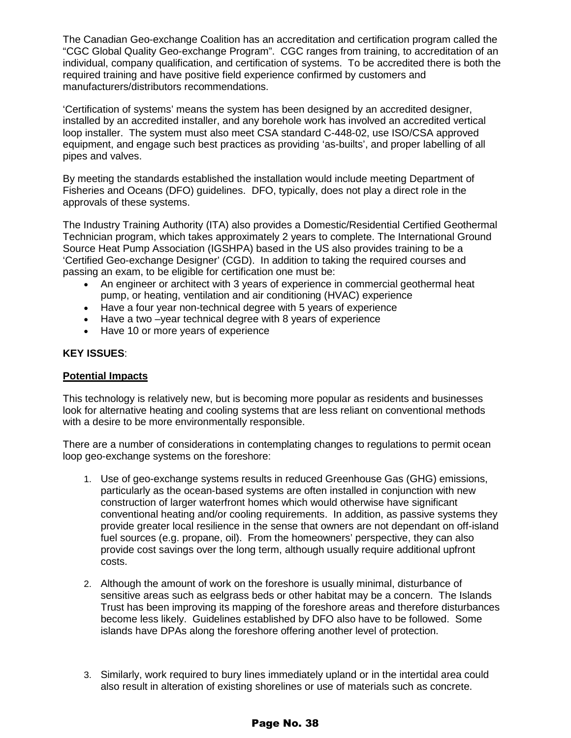The Canadian Geo-exchange Coalition has an accreditation and certification program called the "CGC Global Quality Geo-exchange Program". CGC ranges from training, to accreditation of an individual, company qualification, and certification of systems. To be accredited there is both the required training and have positive field experience confirmed by customers and manufacturers/distributors recommendations.

'Certification of systems' means the system has been designed by an accredited designer, installed by an accredited installer, and any borehole work has involved an accredited vertical loop installer. The system must also meet CSA standard C-448-02, use ISO/CSA approved equipment, and engage such best practices as providing 'as-builts', and proper labelling of all pipes and valves.

By meeting the standards established the installation would include meeting Department of Fisheries and Oceans (DFO) guidelines. DFO, typically, does not play a direct role in the approvals of these systems.

The Industry Training Authority (ITA) also provides a Domestic/Residential Certified Geothermal Technician program, which takes approximately 2 years to complete. The International Ground Source Heat Pump Association (IGSHPA) based in the US also provides training to be a 'Certified Geo-exchange Designer' (CGD). In addition to taking the required courses and passing an exam, to be eligible for certification one must be:

- An engineer or architect with 3 years of experience in commercial geothermal heat pump, or heating, ventilation and air conditioning (HVAC) experience
- Have a four year non-technical degree with 5 years of experience
- Have a two –vear technical degree with 8 years of experience
- Have 10 or more years of experience

#### **KEY ISSUES**:

#### **Potential Impacts**

This technology is relatively new, but is becoming more popular as residents and businesses look for alternative heating and cooling systems that are less reliant on conventional methods with a desire to be more environmentally responsible.

There are a number of considerations in contemplating changes to regulations to permit ocean loop geo-exchange systems on the foreshore:

- 1. Use of geo-exchange systems results in reduced Greenhouse Gas (GHG) emissions, particularly as the ocean-based systems are often installed in conjunction with new construction of larger waterfront homes which would otherwise have significant conventional heating and/or cooling requirements. In addition, as passive systems they provide greater local resilience in the sense that owners are not dependant on off-island fuel sources (e.g. propane, oil). From the homeowners' perspective, they can also provide cost savings over the long term, although usually require additional upfront costs.
- 2. Although the amount of work on the foreshore is usually minimal, disturbance of sensitive areas such as eelgrass beds or other habitat may be a concern. The Islands Trust has been improving its mapping of the foreshore areas and therefore disturbances become less likely. Guidelines established by DFO also have to be followed. Some islands have DPAs along the foreshore offering another level of protection.
- 3. Similarly, work required to bury lines immediately upland or in the intertidal area could also result in alteration of existing shorelines or use of materials such as concrete.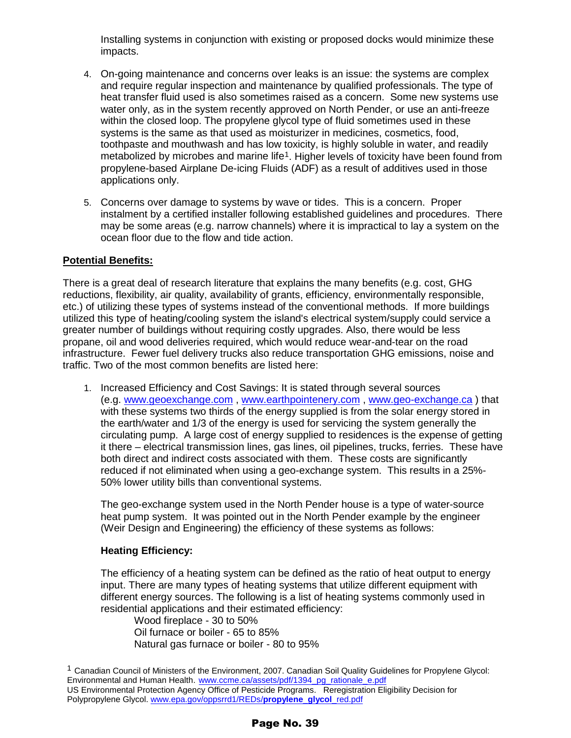Installing systems in conjunction with existing or proposed docks would minimize these impacts.

- 4. On-going maintenance and concerns over leaks is an issue: the systems are complex and require regular inspection and maintenance by qualified professionals. The type of heat transfer fluid used is also sometimes raised as a concern. Some new systems use water only, as in the system recently approved on North Pender, or use an anti-freeze within the closed loop. The propylene glycol type of fluid sometimes used in these systems is the same as that used as moisturizer in medicines, cosmetics, food, toothpaste and mouthwash and has low toxicity, is highly soluble in water, and readily metabolized by microbes and marine life<sup>1</sup>. Higher levels of toxicity have been found from propylene-based Airplane De-icing Fluids (ADF) as a result of additives used in those applications only.
- 5. Concerns over damage to systems by wave or tides. This is a concern. Proper instalment by a certified installer following established guidelines and procedures. There may be some areas (e.g. narrow channels) where it is impractical to lay a system on the ocean floor due to the flow and tide action.

#### **Potential Benefits:**

There is a great deal of research literature that explains the many benefits (e.g. cost, GHG reductions, flexibility, air quality, availability of grants, efficiency, environmentally responsible, etc.) of utilizing these types of systems instead of the conventional methods. If more buildings utilized this type of heating/cooling system the island's electrical system/supply could service a greater number of buildings without requiring costly upgrades. Also, there would be less propane, oil and wood deliveries required, which would reduce wear-and-tear on the road infrastructure. Fewer fuel delivery trucks also reduce transportation GHG emissions, noise and traffic. Two of the most common benefits are listed here:

1. Increased Efficiency and Cost Savings: It is stated through several sources (e.g. [www.geoexchange.com](http://www.geoexchange.com/) , [www.earthpointenery.com](http://www.earthpointenery.com/) , [www.geo-exchange.ca](http://www.geo-exchange.ca/) ) that with these systems two thirds of the energy supplied is from the solar energy stored in the earth/water and 1/3 of the energy is used for servicing the system generally the circulating pump. A large cost of energy supplied to residences is the expense of getting it there – electrical transmission lines, gas lines, oil pipelines, trucks, ferries. These have both direct and indirect costs associated with them. These costs are significantly reduced if not eliminated when using a geo-exchange system. This results in a 25%- 50% lower utility bills than conventional systems.

The geo-exchange system used in the North Pender house is a type of water-source heat pump system. It was pointed out in the North Pender example by the engineer (Weir Design and Engineering) the efficiency of these systems as follows:

#### **Heating Efficiency:**

The efficiency of a heating system can be defined as the ratio of heat output to energy input. There are many types of heating systems that utilize different equipment with different energy sources. The following is a list of heating systems commonly used in residential applications and their estimated efficiency:

Wood fireplace - 30 to 50% Oil furnace or boiler - 65 to 85% Natural gas furnace or boiler - 80 to 95%

<span id="page-38-0"></span><sup>&</sup>lt;sup>1</sup> Canadian Council of Ministers of the Environment, 2007. Canadian Soil Quality Guidelines for Propylene Glycol: Environmental and Human Health. [www.ccme.ca/assets/pdf/1394\\_pg\\_rationale\\_e.pdf](http://www.ccme.ca/assets/pdf/1394_pg_rationale_e.pdf) US Environmental Protection Agency Office of Pesticide Programs. Reregistration Eligibility Decision for Polypropylene Glycol[. www.epa.gov/oppsrrd1/REDs/](http://www.epa.gov/oppsrrd1/REDs/propylene_glycol_red.pdf)**propylene**\_**glycol**\_red.pdf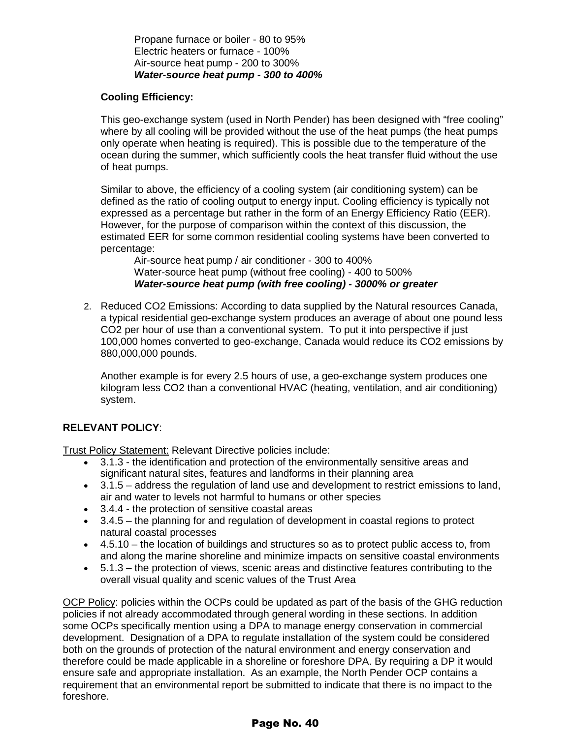Propane furnace or boiler - 80 to 95% Electric heaters or furnace - 100% Air-source heat pump - 200 to 300% *Water-source heat pump - 300 to 400%*

#### **Cooling Efficiency:**

This geo-exchange system (used in North Pender) has been designed with "free cooling" where by all cooling will be provided without the use of the heat pumps (the heat pumps only operate when heating is required). This is possible due to the temperature of the ocean during the summer, which sufficiently cools the heat transfer fluid without the use of heat pumps.

Similar to above, the efficiency of a cooling system (air conditioning system) can be defined as the ratio of cooling output to energy input. Cooling efficiency is typically not expressed as a percentage but rather in the form of an Energy Efficiency Ratio (EER). However, for the purpose of comparison within the context of this discussion, the estimated EER for some common residential cooling systems have been converted to percentage:

Air-source heat pump / air conditioner - 300 to 400% Water-source heat pump (without free cooling) - 400 to 500% *Water-source heat pump (with free cooling) - 3000% or greater*

2. Reduced CO2 Emissions: According to data supplied by the Natural resources Canada, a typical residential geo-exchange system produces an average of about one pound less CO2 per hour of use than a conventional system. To put it into perspective if just 100,000 homes converted to geo-exchange, Canada would reduce its CO2 emissions by 880,000,000 pounds.

Another example is for every 2.5 hours of use, a geo-exchange system produces one kilogram less CO2 than a conventional HVAC (heating, ventilation, and air conditioning) system.

#### **RELEVANT POLICY**:

Trust Policy Statement: Relevant Directive policies include:

- 3.1.3 the identification and protection of the environmentally sensitive areas and significant natural sites, features and landforms in their planning area
- 3.1.5 address the regulation of land use and development to restrict emissions to land, air and water to levels not harmful to humans or other species
- 3.4.4 the protection of sensitive coastal areas
- 3.4.5 the planning for and regulation of development in coastal regions to protect natural coastal processes
- 4.5.10 the location of buildings and structures so as to protect public access to, from and along the marine shoreline and minimize impacts on sensitive coastal environments
- 5.1.3 the protection of views, scenic areas and distinctive features contributing to the overall visual quality and scenic values of the Trust Area

OCP Policy: policies within the OCPs could be updated as part of the basis of the GHG reduction policies if not already accommodated through general wording in these sections. In addition some OCPs specifically mention using a DPA to manage energy conservation in commercial development. Designation of a DPA to regulate installation of the system could be considered both on the grounds of protection of the natural environment and energy conservation and therefore could be made applicable in a shoreline or foreshore DPA. By requiring a DP it would ensure safe and appropriate installation. As an example, the North Pender OCP contains a requirement that an environmental report be submitted to indicate that there is no impact to the foreshore.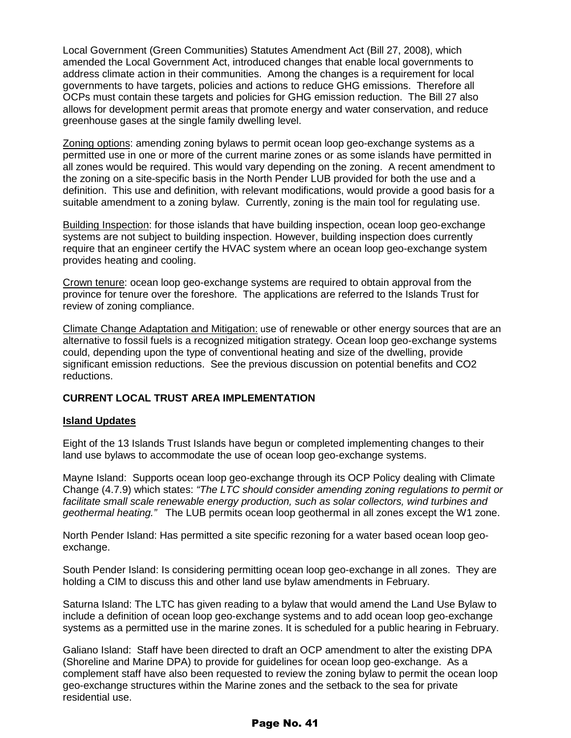Local Government (Green Communities) Statutes Amendment Act (Bill 27, 2008), which amended the Local Government Act, introduced changes that enable local governments to address climate action in their communities. Among the changes is a requirement for local governments to have targets, policies and actions to reduce GHG emissions. Therefore all OCPs must contain these targets and policies for GHG emission reduction. The Bill 27 also allows for development permit areas that promote energy and water conservation, and reduce greenhouse gases at the single family dwelling level.

Zoning options: amending zoning bylaws to permit ocean loop geo-exchange systems as a permitted use in one or more of the current marine zones or as some islands have permitted in all zones would be required. This would vary depending on the zoning. A recent amendment to the zoning on a site-specific basis in the North Pender LUB provided for both the use and a definition. This use and definition, with relevant modifications, would provide a good basis for a suitable amendment to a zoning bylaw. Currently, zoning is the main tool for regulating use.

Building Inspection: for those islands that have building inspection, ocean loop geo-exchange systems are not subject to building inspection. However, building inspection does currently require that an engineer certify the HVAC system where an ocean loop geo-exchange system provides heating and cooling.

Crown tenure: ocean loop geo-exchange systems are required to obtain approval from the province for tenure over the foreshore. The applications are referred to the Islands Trust for review of zoning compliance.

Climate Change Adaptation and Mitigation: use of renewable or other energy sources that are an alternative to fossil fuels is a recognized mitigation strategy. Ocean loop geo-exchange systems could, depending upon the type of conventional heating and size of the dwelling, provide significant emission reductions. See the previous discussion on potential benefits and CO2 reductions.

#### **CURRENT LOCAL TRUST AREA IMPLEMENTATION**

#### **Island Updates**

Eight of the 13 Islands Trust Islands have begun or completed implementing changes to their land use bylaws to accommodate the use of ocean loop geo-exchange systems.

Mayne Island: Supports ocean loop geo-exchange through its OCP Policy dealing with Climate Change (4.7.9) which states: *"The LTC should consider amending zoning regulations to permit or*  facilitate small scale renewable energy production, such as solar collectors, wind turbines and *geothermal heating."* The LUB permits ocean loop geothermal in all zones except the W1 zone.

North Pender Island: Has permitted a site specific rezoning for a water based ocean loop geoexchange.

South Pender Island: Is considering permitting ocean loop geo-exchange in all zones. They are holding a CIM to discuss this and other land use bylaw amendments in February.

Saturna Island: The LTC has given reading to a bylaw that would amend the Land Use Bylaw to include a definition of ocean loop geo-exchange systems and to add ocean loop geo-exchange systems as a permitted use in the marine zones. It is scheduled for a public hearing in February.

Galiano Island: Staff have been directed to draft an OCP amendment to alter the existing DPA (Shoreline and Marine DPA) to provide for guidelines for ocean loop geo-exchange. As a complement staff have also been requested to review the zoning bylaw to permit the ocean loop geo-exchange structures within the Marine zones and the setback to the sea for private residential use.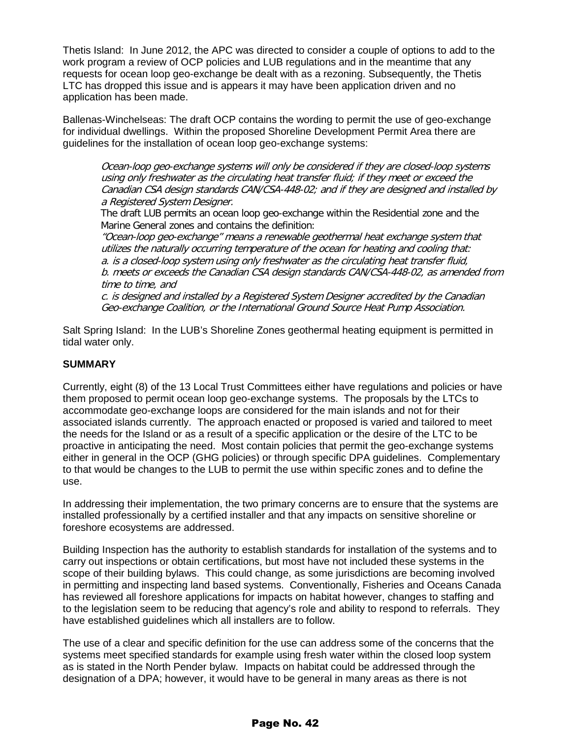Thetis Island: In June 2012, the APC was directed to consider a couple of options to add to the work program a review of OCP policies and LUB regulations and in the meantime that any requests for ocean loop geo-exchange be dealt with as a rezoning. Subsequently, the Thetis LTC has dropped this issue and is appears it may have been application driven and no application has been made.

Ballenas-Winchelseas: The draft OCP contains the wording to permit the use of geo-exchange for individual dwellings. Within the proposed Shoreline Development Permit Area there are guidelines for the installation of ocean loop geo-exchange systems:

Ocean-loop geo-exchange systems will only be considered if they are closed-loop systems using only freshwater as the circulating heat transfer fluid; if they meet or exceed the Canadian CSA design standards CAN/CSA-448-02; and if they are designed and installed by a Registered System Designer.

The draft LUB permits an ocean loop geo-exchange within the Residential zone and the Marine General zones and contains the definition:

"Ocean-loop geo-exchange" means a renewable geothermal heat exchange system that utilizes the naturally occurring temperature of the ocean for heating and cooling that: a. is a closed-loop system using only freshwater as the circulating heat transfer fluid, b. meets or exceeds the Canadian CSA design standards CAN/CSA-448-02, as amended from time to time, and

c. is designed and installed by a Registered System Designer accredited by the Canadian Geo-exchange Coalition, or the International Ground Source Heat Pump Association.

Salt Spring Island: In the LUB's Shoreline Zones geothermal heating equipment is permitted in tidal water only.

#### **SUMMARY**

Currently, eight (8) of the 13 Local Trust Committees either have regulations and policies or have them proposed to permit ocean loop geo-exchange systems. The proposals by the LTCs to accommodate geo-exchange loops are considered for the main islands and not for their associated islands currently. The approach enacted or proposed is varied and tailored to meet the needs for the Island or as a result of a specific application or the desire of the LTC to be proactive in anticipating the need. Most contain policies that permit the geo-exchange systems either in general in the OCP (GHG policies) or through specific DPA guidelines. Complementary to that would be changes to the LUB to permit the use within specific zones and to define the use.

In addressing their implementation, the two primary concerns are to ensure that the systems are installed professionally by a certified installer and that any impacts on sensitive shoreline or foreshore ecosystems are addressed.

Building Inspection has the authority to establish standards for installation of the systems and to carry out inspections or obtain certifications, but most have not included these systems in the scope of their building bylaws. This could change, as some jurisdictions are becoming involved in permitting and inspecting land based systems. Conventionally, Fisheries and Oceans Canada has reviewed all foreshore applications for impacts on habitat however, changes to staffing and to the legislation seem to be reducing that agency's role and ability to respond to referrals. They have established guidelines which all installers are to follow.

The use of a clear and specific definition for the use can address some of the concerns that the systems meet specified standards for example using fresh water within the closed loop system as is stated in the North Pender bylaw. Impacts on habitat could be addressed through the designation of a DPA; however, it would have to be general in many areas as there is not